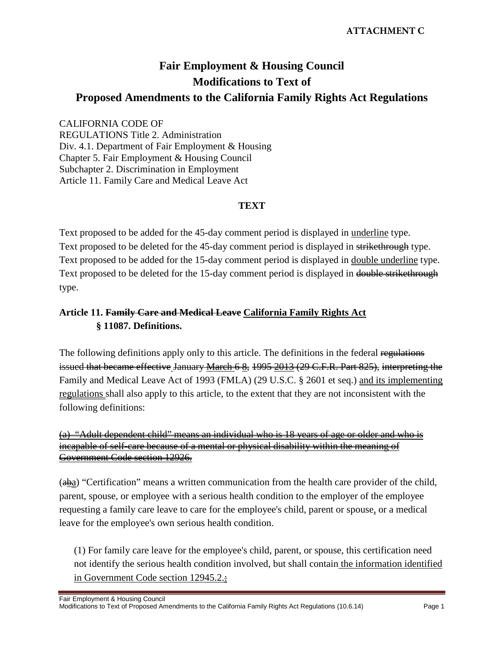# **Fair Employment & Housing Council Modifications to Text of Proposed Amendments to the California Family Rights Act Regulations**

#### CALIFORNIA CODE OF

REGULATIONS Title 2. Administration Div. 4.1. Department of Fair Employment & Housing Chapter 5. Fair Employment & Housing Council Subchapter 2. Discrimination in Employment Article 11. Family Care and Medical Leave Act

#### **TEXT**

Text proposed to be added for the 45-day comment period is displayed in underline type. Text proposed to be deleted for the 45-day comment period is displayed in strikethrough type. Text proposed to be added for the 15-day comment period is displayed in double underline type. Text proposed to be deleted for the 15-day comment period is displayed in double strikethrough type.

# **Article 11. Family Care and Medical Leave California Family Rights Act § 11087. Definitions.**

The following definitions apply only to this article. The definitions in the federal regulations issued that became effective January March 6 &, 1995 2013 (29 C.F.R. Part 825), interpreting the Family and Medical Leave Act of 1993 (FMLA) (29 U.S.C. § 2601 et seq.) and its implementing regulations shall also apply to this article, to the extent that they are not inconsistent with the following definitions:

(a) "Adult dependent child" means an individual who is 18 years of age or older and who is incapable of self-care because of a mental or physical disability within the meaning of Government Code section 12926.

 $(a\underline{ba})$  "Certification" means a written communication from the health care provider of the child, parent, spouse, or employee with a serious health condition to the employer of the employee requesting a family care leave to care for the employee's child, parent or spouse, or a medical leave for the employee's own serious health condition.

(1) For family care leave for the employee's child, parent, or spouse, this certification need not identify the serious health condition involved, but shall contain the information identified in Government Code section 12945.2.: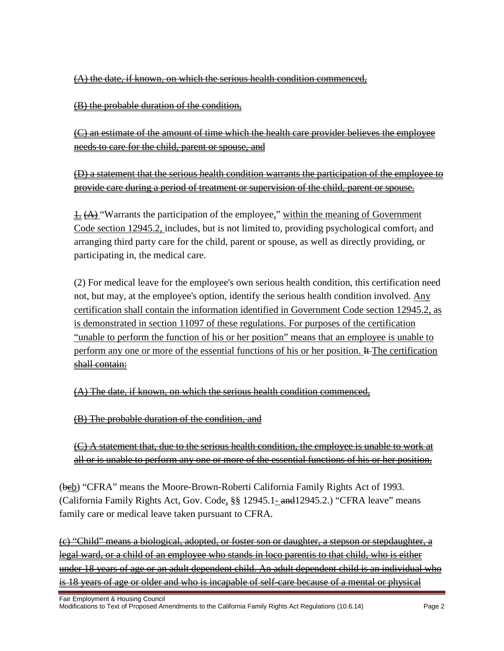(A) the date, if known, on which the serious health condition commenced,

(B) the probable duration of the condition,

(C) an estimate of the amount of time which the health care provider believes the employee needs to care for the child, parent or spouse, and

(D) a statement that the serious health condition warrants the participation of the employee to provide care during a period of treatment or supervision of the child, parent or spouse.

 $\pm$   $\leftrightarrow$  "Warrants the participation of the employee," within the meaning of Government Code section 12945.2, includes, but is not limited to, providing psychological comfort, and arranging third party care for the child, parent or spouse, as well as directly providing, or participating in, the medical care.

(2) For medical leave for the employee's own serious health condition, this certification need not, but may, at the employee's option, identify the serious health condition involved. Any certification shall contain the information identified in Government Code section 12945.2, as is demonstrated in section 11097 of these regulations. For purposes of the certification "unable to perform the function of his or her position" means that an employee is unable to perform any one or more of the essential functions of his or her position. It The certification shall contain:

(A) The date, if known, on which the serious health condition commenced,

(B) The probable duration of the condition, and

(C) A statement that, due to the serious health condition, the employee is unable to work at all or is unable to perform any one or more of the essential functions of his or her position.

(beb) "CFRA" means the Moore-Brown-Roberti California Family Rights Act of 1993. (California Family Rights Act, Gov. Code, §§ 12945.1- and 12945.2.) "CFRA leave" means family care or medical leave taken pursuant to CFRA.

(c) "Child" means a biological, adopted, or foster son or daughter, a stepson or stepdaughter, a legal ward, or a child of an employee who stands in loco parentis to that child, who is either under 18 years of age or an adult dependent child. An adult dependent child is an individual who is 18 years of age or older and who is incapable of self-care because of a mental or physical

Fair Employment & Housing Council Modifications to Text of Proposed Amendments to the California Family Rights Act Regulations (10.6.14) Page 2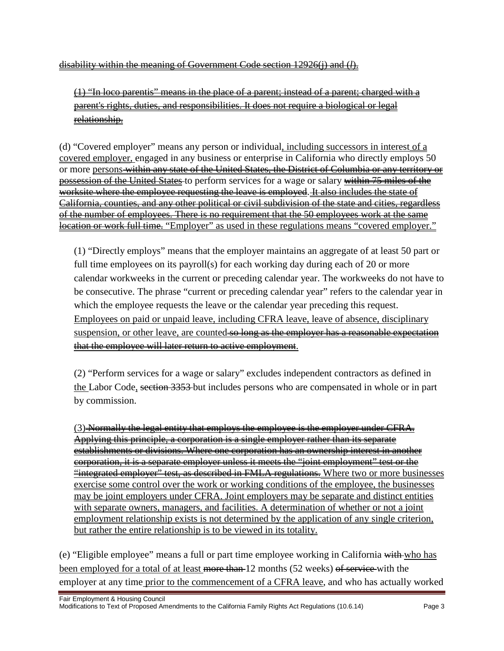disability within the meaning of Government Code section 12926(j) and (*l*).

(1) "In loco parentis" means in the place of a parent; instead of a parent; charged with a parent's rights, duties, and responsibilities. It does not require a biological or legal relationship.

(d) "Covered employer" means any person or individual, including successors in interest of a covered employer, engaged in any business or enterprise in California who directly employs 50 or more persons within any state of the United States, the District of Columbia or any territory or possession of the United States to perform services for a wage or salary within 75 miles of the worksite where the employee requesting the leave is employed. It also includes the state of California, counties, and any other political or civil subdivision of the state and cities, regardless of the number of employees. There is no requirement that the 50 employees work at the same location or work full time. "Employer" as used in these regulations means "covered employer."

(1) "Directly employs" means that the employer maintains an aggregate of at least 50 part or full time employees on its payroll(s) for each working day during each of 20 or more calendar workweeks in the current or preceding calendar year. The workweeks do not have to be consecutive. The phrase "current or preceding calendar year" refers to the calendar year in which the employee requests the leave or the calendar year preceding this request. Employees on paid or unpaid leave, including CFRA leave, leave of absence, disciplinary suspension, or other leave, are counted so long as the employer has a reasonable expectation that the employee will later return to active employment.

(2) "Perform services for a wage or salary" excludes independent contractors as defined in the Labor Code, section 3353 but includes persons who are compensated in whole or in part by commission.

(3) Normally the legal entity that employs the employee is the employer under CFRA. Applying this principle, a corporation is a single employer rather than its separate establishments or divisions. Where one corporation has an ownership interest in another corporation, it is a separate employer unless it meets the "joint employment" test or the "integrated employer" test, as described in FMLA regulations. Where two or more businesses exercise some control over the work or working conditions of the employee, the businesses may be joint employers under CFRA. Joint employers may be separate and distinct entities with separate owners, managers, and facilities. A determination of whether or not a joint employment relationship exists is not determined by the application of any single criterion, but rather the entire relationship is to be viewed in its totality.

(e) "Eligible employee" means a full or part time employee working in California with who has been employed for a total of at least more than 12 months (52 weeks) of service with the employer at any time prior to the commencement of a CFRA leave, and who has actually worked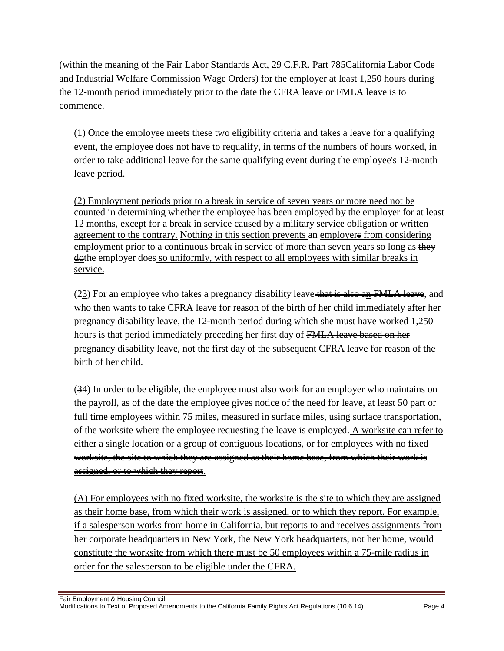(within the meaning of the Fair Labor Standards Act, 29 C.F.R. Part 785California Labor Code and Industrial Welfare Commission Wage Orders) for the employer at least 1,250 hours during the 12-month period immediately prior to the date the CFRA leave or FMLA leave is to commence.

(1) Once the employee meets these two eligibility criteria and takes a leave for a qualifying event, the employee does not have to requalify, in terms of the numbers of hours worked, in order to take additional leave for the same qualifying event during the employee's 12-month leave period.

(2) Employment periods prior to a break in service of seven years or more need not be counted in determining whether the employee has been employed by the employer for at least 12 months, except for a break in service caused by a military service obligation or written agreement to the contrary. Nothing in this section prevents an employers from considering employment prior to a continuous break in service of more than seven years so long as they dothe employer does so uniformly, with respect to all employees with similar breaks in service.

(23) For an employee who takes a pregnancy disability leave that is also an FMLA leave, and who then wants to take CFRA leave for reason of the birth of her child immediately after her pregnancy disability leave, the 12-month period during which she must have worked 1,250 hours is that period immediately preceding her first day of FMLA leave based on her pregnancy disability leave, not the first day of the subsequent CFRA leave for reason of the birth of her child.

(34) In order to be eligible, the employee must also work for an employer who maintains on the payroll, as of the date the employee gives notice of the need for leave, at least 50 part or full time employees within 75 miles, measured in surface miles, using surface transportation, of the worksite where the employee requesting the leave is employed. A worksite can refer to either a single location or a group of contiguous locations<del>, or for employees with no fixed</del> worksite, the site to which they are assigned as their home base, from which their work is assigned, or to which they report.

(A) For employees with no fixed worksite, the worksite is the site to which they are assigned as their home base, from which their work is assigned, or to which they report. For example, if a salesperson works from home in California, but reports to and receives assignments from her corporate headquarters in New York, the New York headquarters, not her home, would constitute the worksite from which there must be 50 employees within a 75-mile radius in order for the salesperson to be eligible under the CFRA.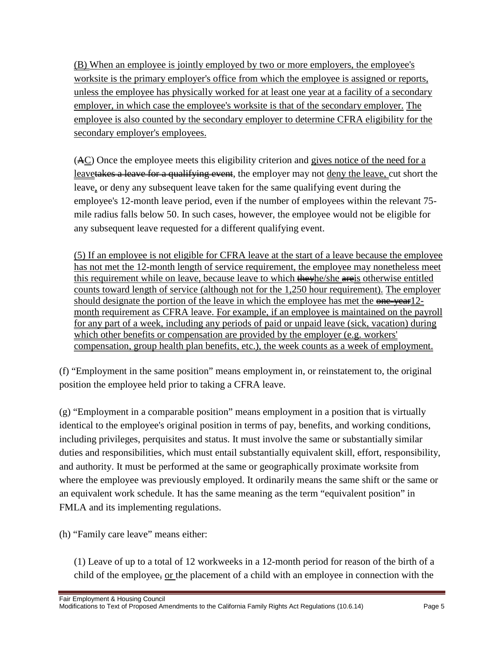(B) When an employee is jointly employed by two or more employers, the employee's worksite is the primary employer's office from which the employee is assigned or reports, unless the employee has physically worked for at least one year at a facility of a secondary employer, in which case the employee's worksite is that of the secondary employer. The employee is also counted by the secondary employer to determine CFRA eligibility for the secondary employer's employees.

(AC) Once the employee meets this eligibility criterion and gives notice of the need for a leavetakes a leave for a qualifying event, the employer may not deny the leave, cut short the leave, or deny any subsequent leave taken for the same qualifying event during the employee's 12-month leave period, even if the number of employees within the relevant 75 mile radius falls below 50. In such cases, however, the employee would not be eligible for any subsequent leave requested for a different qualifying event.

(5) If an employee is not eligible for CFRA leave at the start of a leave because the employee has not met the 12-month length of service requirement, the employee may nonetheless meet this requirement while on leave, because leave to which the the state otherwise entitled counts toward length of service (although not for the 1,250 hour requirement). The employer should designate the portion of the leave in which the employee has met the  $\theta$  one-year 12month requirement as CFRA leave. For example, if an employee is maintained on the payroll for any part of a week, including any periods of paid or unpaid leave (sick, vacation) during which other benefits or compensation are provided by the employer (e.g. workers' compensation, group health plan benefits, etc.), the week counts as a week of employment.

(f) "Employment in the same position" means employment in, or reinstatement to, the original position the employee held prior to taking a CFRA leave.

(g) "Employment in a comparable position" means employment in a position that is virtually identical to the employee's original position in terms of pay, benefits, and working conditions, including privileges, perquisites and status. It must involve the same or substantially similar duties and responsibilities, which must entail substantially equivalent skill, effort, responsibility, and authority. It must be performed at the same or geographically proximate worksite from where the employee was previously employed. It ordinarily means the same shift or the same or an equivalent work schedule. It has the same meaning as the term "equivalent position" in FMLA and its implementing regulations.

(h) "Family care leave" means either:

(1) Leave of up to a total of 12 workweeks in a 12-month period for reason of the birth of a child of the employee, or the placement of a child with an employee in connection with the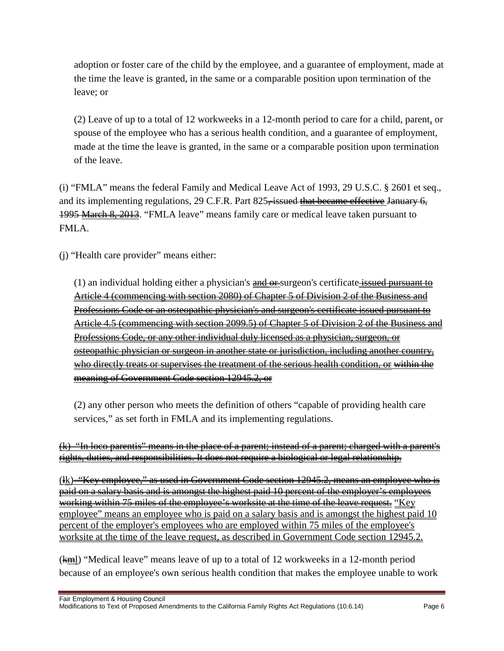adoption or foster care of the child by the employee, and a guarantee of employment, made at the time the leave is granted, in the same or a comparable position upon termination of the leave; or

(2) Leave of up to a total of 12 workweeks in a 12-month period to care for a child, parent, or spouse of the employee who has a serious health condition, and a guarantee of employment, made at the time the leave is granted, in the same or a comparable position upon termination of the leave.

(i) "FMLA" means the federal Family and Medical Leave Act of 1993, 29 U.S.C. § 2601 et seq., and its implementing regulations, 29 C.F.R. Part 825<del>, issued that became effective</del> January 6, 1995 March 8, 2013. "FMLA leave" means family care or medical leave taken pursuant to FMLA.

(j) "Health care provider" means either:

(1) an individual holding either a physician's  $\frac{and}{er}$ surgeon's certificate issued pursuant to Article 4 (commencing with section 2080) of Chapter 5 of Division 2 of the Business and Professions Code or an osteopathic physician's and surgeon's certificate issued pursuant to Article 4.5 (commencing with section 2099.5) of Chapter 5 of Division 2 of the Business and Professions Code, or any other individual duly licensed as a physician, surgeon, or osteopathic physician or surgeon in another state or jurisdiction, including another country, who directly treats or supervises the treatment of the serious health condition, or within the meaning of Government Code section 12945.2, or

(2) any other person who meets the definition of others "capable of providing health care services," as set forth in FMLA and its implementing regulations.

(k) "In loco parentis" means in the place of a parent; instead of a parent; charged with a parent's rights, duties, and responsibilities. It does not require a biological or legal relationship.

(lk) "Key employee," as used in Government Code section 12945.2, means an employee who is paid on a salary basis and is amongst the highest paid 10 percent of the employer's employees working within 75 miles of the employee's worksite at the time of the leave request. "Key employee" means an employee who is paid on a salary basis and is amongst the highest paid 10 percent of the employer's employees who are employed within 75 miles of the employee's worksite at the time of the leave request, as described in Government Code section 12945.2.

 $(km)$  "Medical leave" means leave of up to a total of 12 workweeks in a 12-month period because of an employee's own serious health condition that makes the employee unable to work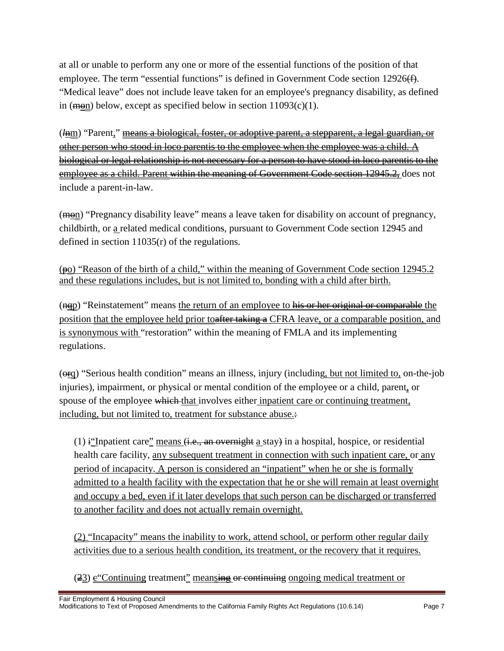at all or unable to perform any one or more of the essential functions of the position of that employee. The term "essential functions" is defined in Government Code section 12926(f). "Medical leave" does not include leave taken for an employee's pregnancy disability, as defined in (mon) below, except as specified below in section  $11093(c)(1)$ .

(*l*nm) "Parent," means a biological, foster, or adoptive parent, a stepparent, a legal guardian, or other person who stood in loco parentis to the employee when the employee was a child. A biological or legal relationship is not necessary for a person to have stood in loco parentis to the employee as a child. Parent within the meaning of Government Code section 12945.2, does not include a parent-in-law.

 $(m<sub>en</sub>)$  "Pregnancy disability leave" means a leave taken for disability on account of pregnancy, childbirth, or a related medical conditions, pursuant to Government Code section 12945 and defined in section 11035(r) of the regulations.

 $(p_0)$  "Reason of the birth of a child," within the meaning of Government Code section 12945.2 and these regulations includes, but is not limited to, bonding with a child after birth.

(nep) "Reinstatement" means the return of an employee to his or her original or comparable the position that the employee held prior to after taking a CFRA leave, or a comparable position, and is synonymous with "restoration" within the meaning of FMLA and its implementing regulations.

 $(\Theta_{\text{FQ}})$  "Serious health condition" means an illness, injury (including, but not limited to, on-the-job injuries), impairment, or physical or mental condition of the employee or a child, parent, or spouse of the employee which that involves either inpatient care or continuing treatment, including, but not limited to, treatment for substance abuse.:

(1) if Inpatient care" means  $(i.e., an overnight a stay)$  in a hospital, hospice, or residential health care facility, any subsequent treatment in connection with such inpatient care, or any period of incapacity. A person is considered an "inpatient" when he or she is formally admitted to a health facility with the expectation that he or she will remain at least overnight and occupy a bed, even if it later develops that such person can be discharged or transferred to another facility and does not actually remain overnight.

(2) "Incapacity" means the inability to work, attend school, or perform other regular daily activities due to a serious health condition, its treatment, or the recovery that it requires.

 $(23)$  e Continuing treatment" meansing or continuing ongoing medical treatment or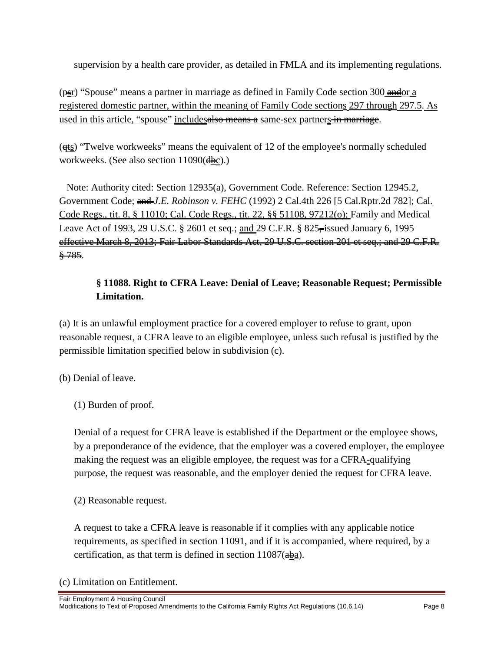supervision by a health care provider, as detailed in FMLA and its implementing regulations.

 $(p_{\text{S}})$  "Spouse" means a partner in marriage as defined in Family Code section 300 and or registered domestic partner, within the meaning of Family Code sections 297 through 297.5. As used in this article, "spouse" includesalso means a same-sex partners in marriage.

(qts) "Twelve workweeks" means the equivalent of 12 of the employee's normally scheduled workweeks. (See also section 11090(dbc).)

Note: Authority cited: Section 12935(a), Government Code. Reference: Section 12945.2, Government Code; and *J.E. Robinson v. FEHC* (1992) 2 Cal.4th 226 [5 Cal.Rptr.2d 782]; Cal. Code Regs., tit. 8, § 11010; Cal. Code Regs., tit. 22, §§ 51108, 97212(o); Family and Medical Leave Act of 1993, 29 U.S.C. § 2601 et seq.; and 29 C.F.R. § 825<del>, issued January 6, 1995</del> effective March 8, 2013; Fair Labor Standards Act, 29 U.S.C. section 201 et seq.; and 29 C.F.R.  $\frac{8.785}{8}$ .

# **§ 11088. Right to CFRA Leave: Denial of Leave; Reasonable Request; Permissible Limitation.**

(a) It is an unlawful employment practice for a covered employer to refuse to grant, upon reasonable request, a CFRA leave to an eligible employee, unless such refusal is justified by the permissible limitation specified below in subdivision (c).

(b) Denial of leave.

Denial of a request for CFRA leave is established if the Department or the employee shows, by a preponderance of the evidence, that the employer was a covered employer, the employee making the request was an eligible employee, the request was for a CFRA-qualifying purpose, the request was reasonable, and the employer denied the request for CFRA leave.

(2) Reasonable request.

A request to take a CFRA leave is reasonable if it complies with any applicable notice requirements, as specified in section 11091, and if it is accompanied, where required, by a certification, as that term is defined in section  $11087(aba)$ .

(c) Limitation on Entitlement.

<sup>(1)</sup> Burden of proof.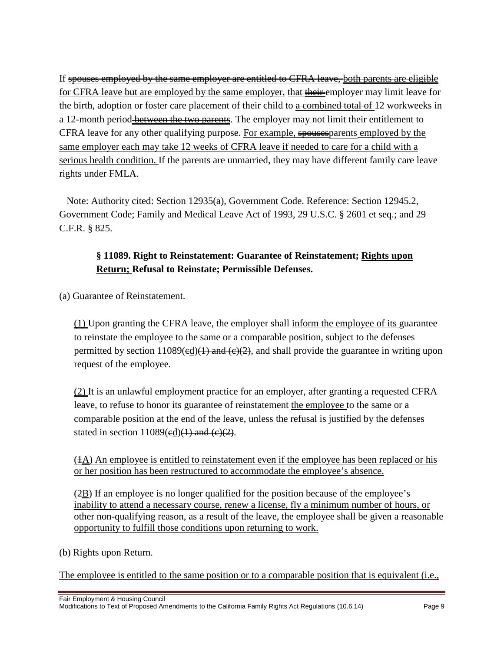If spouses employed by the same employer are entitled to CFRA leave, both parents are eligible for CFRA leave but are employed by the same employer, that their employer may limit leave for the birth, adoption or foster care placement of their child to  $\alpha$  combined total of 12 workweeks in a 12-month period-**between the two parents**. The employer may not limit their entitlement to CFRA leave for any other qualifying purpose. For example, spousesparents employed by the same employer each may take 12 weeks of CFRA leave if needed to care for a child with a serious health condition. If the parents are unmarried, they may have different family care leave rights under FMLA.

Note: Authority cited: Section 12935(a), Government Code. Reference: Section 12945.2, Government Code; Family and Medical Leave Act of 1993, 29 U.S.C. § 2601 et seq.; and 29 C.F.R. § 825.

### **§ 11089. Right to Reinstatement: Guarantee of Reinstatement; Rights upon Return; Refusal to Reinstate; Permissible Defenses.**

(a) Guarantee of Reinstatement.

(1) Upon granting the CFRA leave, the employer shall inform the employee of its guarantee to reinstate the employee to the same or a comparable position, subject to the defenses permitted by section  $11089 \times (ed)(1)$  and  $(c)(2)$ , and shall provide the guarantee in writing upon request of the employee.

(2) It is an unlawful employment practice for an employer, after granting a requested CFRA leave, to refuse to honor its guarantee of reinstatement the employee to the same or a comparable position at the end of the leave, unless the refusal is justified by the defenses stated in section  $11089$ (ed)(1) and (e)(2).

 $(4A)$  An employee is entitled to reinstatement even if the employee has been replaced or his or her position has been restructured to accommodate the employee's absence.

(2B) If an employee is no longer qualified for the position because of the employee's inability to attend a necessary course, renew a license, fly a minimum number of hours, or other non-qualifying reason, as a result of the leave, the employee shall be given a reasonable opportunity to fulfill those conditions upon returning to work.

#### (b) Rights upon Return.

The employee is entitled to the same position or to a comparable position that is equivalent (i.e.,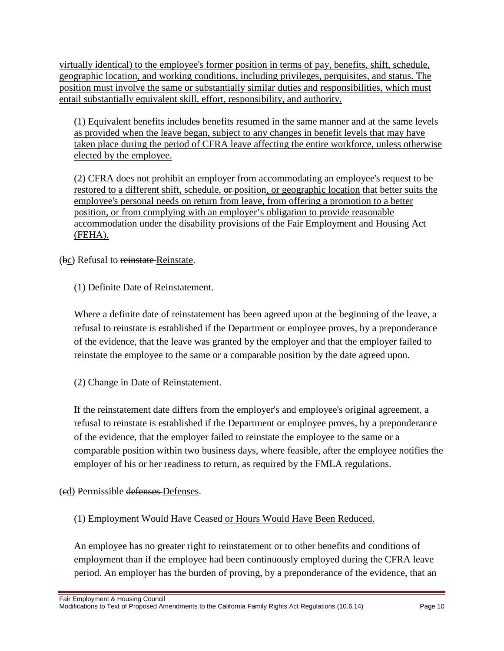virtually identical) to the employee's former position in terms of pay, benefits, shift, schedule, geographic location, and working conditions, including privileges, perquisites, and status. The position must involve the same or substantially similar duties and responsibilities, which must entail substantially equivalent skill, effort, responsibility, and authority.

(1) Equivalent benefits includes benefits resumed in the same manner and at the same levels as provided when the leave began, subject to any changes in benefit levels that may have taken place during the period of CFRA leave affecting the entire workforce, unless otherwise elected by the employee.

(2) CFRA does not prohibit an employer from accommodating an employee's request to be restored to a different shift, schedule,  $\theta$ =position, or geographic location that better suits the employee's personal needs on return from leave, from offering a promotion to a better position, or from complying with an employer's obligation to provide reasonable accommodation under the disability provisions of the Fair Employment and Housing Act (FEHA).

(bc) Refusal to reinstate Reinstate.

(1) Definite Date of Reinstatement.

Where a definite date of reinstatement has been agreed upon at the beginning of the leave, a refusal to reinstate is established if the Department or employee proves, by a preponderance of the evidence, that the leave was granted by the employer and that the employer failed to reinstate the employee to the same or a comparable position by the date agreed upon.

(2) Change in Date of Reinstatement.

If the reinstatement date differs from the employer's and employee's original agreement, a refusal to reinstate is established if the Department or employee proves, by a preponderance of the evidence, that the employer failed to reinstate the employee to the same or a comparable position within two business days, where feasible, after the employee notifies the employer of his or her readiness to return, as required by the FMLA regulations.

(cd) Permissible defenses Defenses.

(1) Employment Would Have Ceased or Hours Would Have Been Reduced.

An employee has no greater right to reinstatement or to other benefits and conditions of employment than if the employee had been continuously employed during the CFRA leave period. An employer has the burden of proving, by a preponderance of the evidence, that an

Fair Employment & Housing Council

Modifications to Text of Proposed Amendments to the California Family Rights Act Regulations (10.6.14) Page 10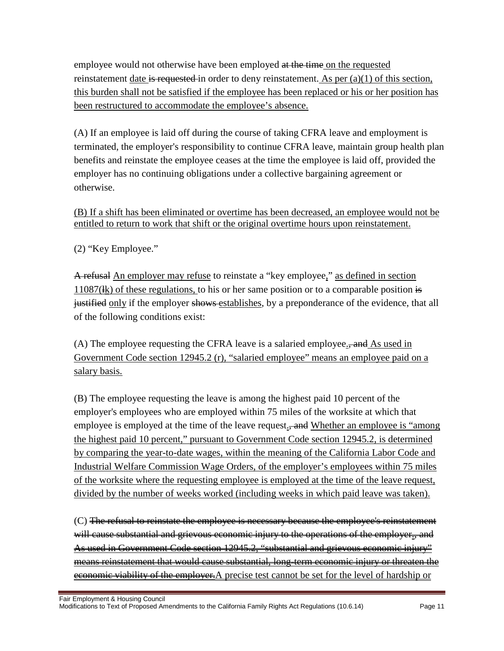employee would not otherwise have been employed at the time on the requested reinstatement date is requested in order to deny reinstatement. As per  $(a)(1)$  of this section, this burden shall not be satisfied if the employee has been replaced or his or her position has been restructured to accommodate the employee's absence.

(A) If an employee is laid off during the course of taking CFRA leave and employment is terminated, the employer's responsibility to continue CFRA leave, maintain group health plan benefits and reinstate the employee ceases at the time the employee is laid off, provided the employer has no continuing obligations under a collective bargaining agreement or otherwise.

(B) If a shift has been eliminated or overtime has been decreased, an employee would not be entitled to return to work that shift or the original overtime hours upon reinstatement.

(2) "Key Employee."

A refusal An employer may refuse to reinstate a "key employee," as defined in section  $11087$ ( $\frac{1}{k}$ ) of these regulations, to his or her same position or to a comparable position is justified only if the employer shows establishes, by a preponderance of the evidence, that all of the following conditions exist:

(A) The employee requesting the CFRA leave is a salaried employee.<del>, and</del> As used in Government Code section 12945.2 (r), "salaried employee" means an employee paid on a salary basis.

(B) The employee requesting the leave is among the highest paid 10 percent of the employer's employees who are employed within 75 miles of the worksite at which that employee is employed at the time of the leave request., and Whether an employee is "among" the highest paid 10 percent," pursuant to Government Code section 12945.2, is determined by comparing the year-to-date wages, within the meaning of the California Labor Code and Industrial Welfare Commission Wage Orders, of the employer's employees within 75 miles of the worksite where the requesting employee is employed at the time of the leave request, divided by the number of weeks worked (including weeks in which paid leave was taken).

(C) The refusal to reinstate the employee is necessary because the employee's reinstatement will cause substantial and grievous economic injury to the operations of the employer., and As used in Government Code section 12945.2, "substantial and grievous economic injury" means reinstatement that would cause substantial, long-term economic injury or threaten the economic viability of the employer. A precise test cannot be set for the level of hardship or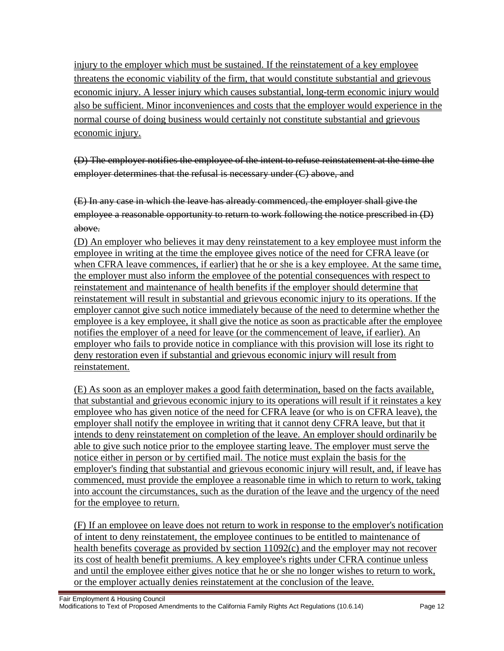injury to the employer which must be sustained. If the reinstatement of a key employee threatens the economic viability of the firm, that would constitute substantial and grievous economic injury. A lesser injury which causes substantial, long-term economic injury would also be sufficient. Minor inconveniences and costs that the employer would experience in the normal course of doing business would certainly not constitute substantial and grievous economic injury.

(D) The employer notifies the employee of the intent to refuse reinstatement at the time the employer determines that the refusal is necessary under (C) above, and

(E) In any case in which the leave has already commenced, the employer shall give the employee a reasonable opportunity to return to work following the notice prescribed in (D) above.

(D) An employer who believes it may deny reinstatement to a key employee must inform the employee in writing at the time the employee gives notice of the need for CFRA leave (or when CFRA leave commences, if earlier) that he or she is a key employee. At the same time, the employer must also inform the employee of the potential consequences with respect to reinstatement and maintenance of health benefits if the employer should determine that reinstatement will result in substantial and grievous economic injury to its operations. If the employer cannot give such notice immediately because of the need to determine whether the employee is a key employee, it shall give the notice as soon as practicable after the employee notifies the employer of a need for leave (or the commencement of leave, if earlier). An employer who fails to provide notice in compliance with this provision will lose its right to deny restoration even if substantial and grievous economic injury will result from reinstatement.

(E) As soon as an employer makes a good faith determination, based on the facts available, that substantial and grievous economic injury to its operations will result if it reinstates a key employee who has given notice of the need for CFRA leave (or who is on CFRA leave), the employer shall notify the employee in writing that it cannot deny CFRA leave, but that it intends to deny reinstatement on completion of the leave. An employer should ordinarily be able to give such notice prior to the employee starting leave. The employer must serve the notice either in person or by certified mail. The notice must explain the basis for the employer's finding that substantial and grievous economic injury will result, and, if leave has commenced, must provide the employee a reasonable time in which to return to work, taking into account the circumstances, such as the duration of the leave and the urgency of the need for the employee to return.

(F) If an employee on leave does not return to work in response to the employer's notification of intent to deny reinstatement, the employee continues to be entitled to maintenance of health benefits coverage as provided by section 11092(c) and the employer may not recover its cost of health benefit premiums. A key employee's rights under CFRA continue unless and until the employee either gives notice that he or she no longer wishes to return to work, or the employer actually denies reinstatement at the conclusion of the leave.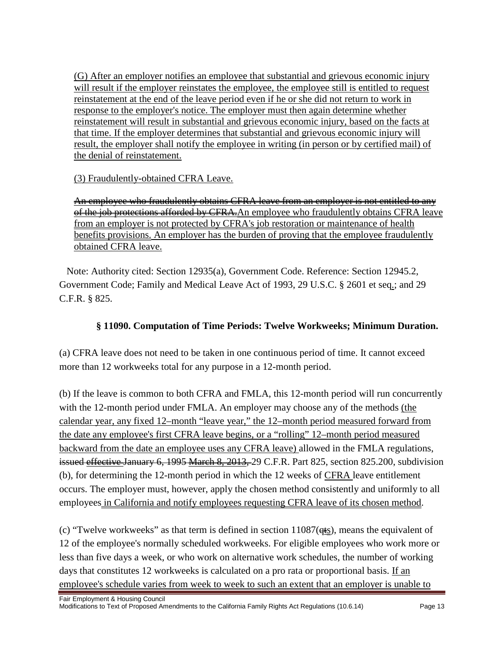(G) After an employer notifies an employee that substantial and grievous economic injury will result if the employer reinstates the employee, the employee still is entitled to request reinstatement at the end of the leave period even if he or she did not return to work in response to the employer's notice. The employer must then again determine whether reinstatement will result in substantial and grievous economic injury, based on the facts at that time. If the employer determines that substantial and grievous economic injury will result, the employer shall notify the employee in writing (in person or by certified mail) of the denial of reinstatement.

(3) Fraudulently-obtained CFRA Leave.

An employee who fraudulently obtains CFRA leave from an employer is not entitled to any of the job protections afforded by CFRA. An employee who fraudulently obtains CFRA leave from an employer is not protected by CFRA's job restoration or maintenance of health benefits provisions. An employer has the burden of proving that the employee fraudulently obtained CFRA leave.

Note: Authority cited: Section 12935(a), Government Code. Reference: Section 12945.2, Government Code; Family and Medical Leave Act of 1993, 29 U.S.C. § 2601 et seq.; and 29 C.F.R. § 825.

## **§ 11090. Computation of Time Periods: Twelve Workweeks; Minimum Duration.**

(a) CFRA leave does not need to be taken in one continuous period of time. It cannot exceed more than 12 workweeks total for any purpose in a 12-month period.

(b) If the leave is common to both CFRA and FMLA, this 12-month period will run concurrently with the 12-month period under FMLA. An employer may choose any of the methods (the calendar year, any fixed 12–month "leave year," the 12–month period measured forward from the date any employee's first CFRA leave begins, or a "rolling" 12–month period measured backward from the date an employee uses any CFRA leave) allowed in the FMLA regulations, issued effective January 6, 1995 March 8, 2013, 29 C.F.R. Part 825, section 825.200, subdivision (b), for determining the 12-month period in which the 12 weeks of CFRA leave entitlement occurs. The employer must, however, apply the chosen method consistently and uniformly to all employees in California and notify employees requesting CFRA leave of its chosen method.

(c) "Twelve workweeks" as that term is defined in section  $11087$ ( $q_{ss}$ ), means the equivalent of 12 of the employee's normally scheduled workweeks. For eligible employees who work more or less than five days a week, or who work on alternative work schedules, the number of working days that constitutes 12 workweeks is calculated on a pro rata or proportional basis. If an employee's schedule varies from week to week to such an extent that an employer is unable to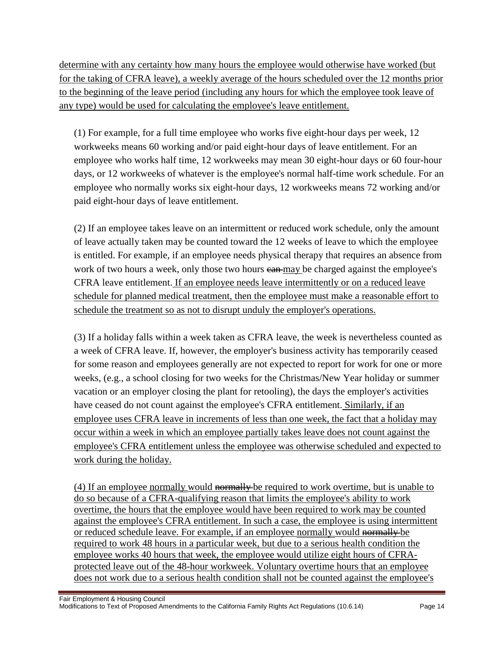determine with any certainty how many hours the employee would otherwise have worked (but for the taking of CFRA leave), a weekly average of the hours scheduled over the 12 months prior to the beginning of the leave period (including any hours for which the employee took leave of any type) would be used for calculating the employee's leave entitlement.

(1) For example, for a full time employee who works five eight-hour days per week, 12 workweeks means 60 working and/or paid eight-hour days of leave entitlement. For an employee who works half time, 12 workweeks may mean 30 eight-hour days or 60 four-hour days, or 12 workweeks of whatever is the employee's normal half-time work schedule. For an employee who normally works six eight-hour days, 12 workweeks means 72 working and/or paid eight-hour days of leave entitlement.

(2) If an employee takes leave on an intermittent or reduced work schedule, only the amount of leave actually taken may be counted toward the 12 weeks of leave to which the employee is entitled. For example, if an employee needs physical therapy that requires an absence from work of two hours a week, only those two hours ean-may be charged against the employee's CFRA leave entitlement. If an employee needs leave intermittently or on a reduced leave schedule for planned medical treatment, then the employee must make a reasonable effort to schedule the treatment so as not to disrupt unduly the employer's operations.

(3) If a holiday falls within a week taken as CFRA leave, the week is nevertheless counted as a week of CFRA leave. If, however, the employer's business activity has temporarily ceased for some reason and employees generally are not expected to report for work for one or more weeks, (e.g., a school closing for two weeks for the Christmas/New Year holiday or summer vacation or an employer closing the plant for retooling), the days the employer's activities have ceased do not count against the employee's CFRA entitlement. Similarly, if an employee uses CFRA leave in increments of less than one week, the fact that a holiday may occur within a week in which an employee partially takes leave does not count against the employee's CFRA entitlement unless the employee was otherwise scheduled and expected to work during the holiday.

(4) If an employee normally would  $\frac{1}{2}$  he required to work overtime, but is unable to do so because of a CFRA-qualifying reason that limits the employee's ability to work overtime, the hours that the employee would have been required to work may be counted against the employee's CFRA entitlement. In such a case, the employee is using intermittent or reduced schedule leave. For example, if an employee normally would normally be required to work 48 hours in a particular week, but due to a serious health condition the employee works 40 hours that week, the employee would utilize eight hours of CFRAprotected leave out of the 48-hour workweek. Voluntary overtime hours that an employee does not work due to a serious health condition shall not be counted against the employee's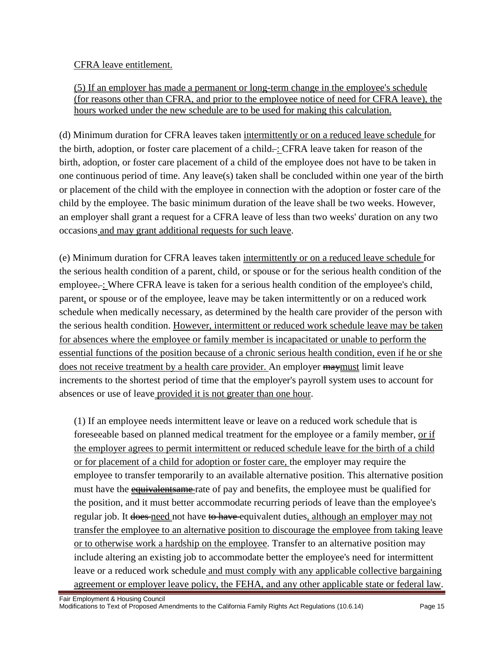CFRA leave entitlement.

(5) If an employer has made a permanent or long-term change in the employee's schedule (for reasons other than CFRA, and prior to the employee notice of need for CFRA leave), the hours worked under the new schedule are to be used for making this calculation.

(d) Minimum duration for CFRA leaves taken intermittently or on a reduced leave schedule for the birth, adoption, or foster care placement of a child $\div$ : CFRA leave taken for reason of the birth, adoption, or foster care placement of a child of the employee does not have to be taken in one continuous period of time. Any leave(s) taken shall be concluded within one year of the birth or placement of the child with the employee in connection with the adoption or foster care of the child by the employee. The basic minimum duration of the leave shall be two weeks. However, an employer shall grant a request for a CFRA leave of less than two weeks' duration on any two occasions and may grant additional requests for such leave.

(e) Minimum duration for CFRA leaves taken intermittently or on a reduced leave schedule for the serious health condition of a parent, child, or spouse or for the serious health condition of the employee...: Where CFRA leave is taken for a serious health condition of the employee's child, parent, or spouse or of the employee, leave may be taken intermittently or on a reduced work schedule when medically necessary, as determined by the health care provider of the person with the serious health condition. However, intermittent or reduced work schedule leave may be taken for absences where the employee or family member is incapacitated or unable to perform the essential functions of the position because of a chronic serious health condition, even if he or she does not receive treatment by a health care provider. An employer  $\frac{m}{m}$  must limit leave increments to the shortest period of time that the employer's payroll system uses to account for absences or use of leave provided it is not greater than one hour.

(1) If an employee needs intermittent leave or leave on a reduced work schedule that is foreseeable based on planned medical treatment for the employee or a family member, or if the employer agrees to permit intermittent or reduced schedule leave for the birth of a child or for placement of a child for adoption or foster care, the employer may require the employee to transfer temporarily to an available alternative position. This alternative position must have the **equivalent same** rate of pay and benefits, the employee must be qualified for the position, and it must better accommodate recurring periods of leave than the employee's regular job. It does need not have to have equivalent duties, although an employer may not transfer the employee to an alternative position to discourage the employee from taking leave or to otherwise work a hardship on the employee. Transfer to an alternative position may include altering an existing job to accommodate better the employee's need for intermittent leave or a reduced work schedule and must comply with any applicable collective bargaining agreement or employer leave policy, the FEHA, and any other applicable state or federal law.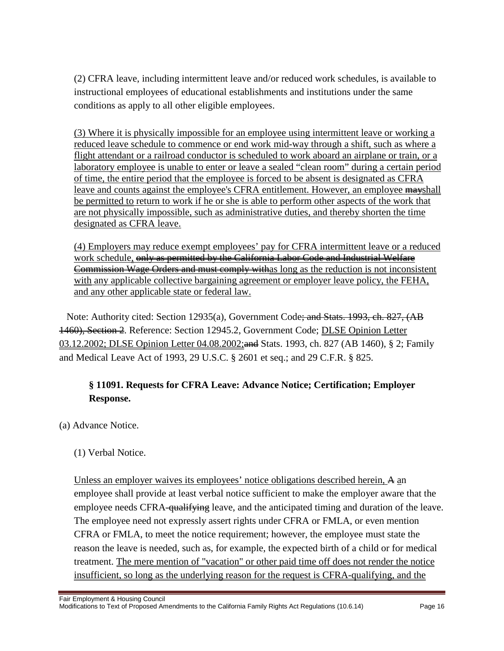(2) CFRA leave, including intermittent leave and/or reduced work schedules, is available to instructional employees of educational establishments and institutions under the same conditions as apply to all other eligible employees.

(3) Where it is physically impossible for an employee using intermittent leave or working a reduced leave schedule to commence or end work mid-way through a shift, such as where a flight attendant or a railroad conductor is scheduled to work aboard an airplane or train, or a laboratory employee is unable to enter or leave a sealed "clean room" during a certain period of time, the entire period that the employee is forced to be absent is designated as CFRA leave and counts against the employee's CFRA entitlement. However, an employee mayshall be permitted to return to work if he or she is able to perform other aspects of the work that are not physically impossible, such as administrative duties, and thereby shorten the time designated as CFRA leave.

(4) Employers may reduce exempt employees' pay for CFRA intermittent leave or a reduced work schedule, only as permitted by the California Labor Code and Industrial Welfare Commission Wage Orders and must comply withas long as the reduction is not inconsistent with any applicable collective bargaining agreement or employer leave policy, the FEHA, and any other applicable state or federal law.

Note: Authority cited: Section 12935(a), Government Code; and Stats. 1993, ch. 827, (AB 1460), Section 2. Reference: Section 12945.2, Government Code; DLSE Opinion Letter 03.12.2002; DLSE Opinion Letter 04.08.2002; and Stats. 1993, ch. 827 (AB 1460), § 2; Family and Medical Leave Act of 1993, 29 U.S.C. § 2601 et seq.; and 29 C.F.R. § 825.

## **§ 11091. Requests for CFRA Leave: Advance Notice; Certification; Employer Response.**

(a) Advance Notice.

(1) Verbal Notice.

Unless an employer waives its employees' notice obligations described herein, A an employee shall provide at least verbal notice sufficient to make the employer aware that the employee needs CFRA-qualifying leave, and the anticipated timing and duration of the leave. The employee need not expressly assert rights under CFRA or FMLA, or even mention CFRA or FMLA, to meet the notice requirement; however, the employee must state the reason the leave is needed, such as, for example, the expected birth of a child or for medical treatment. The mere mention of "vacation" or other paid time off does not render the notice insufficient, so long as the underlying reason for the request is CFRA-qualifying, and the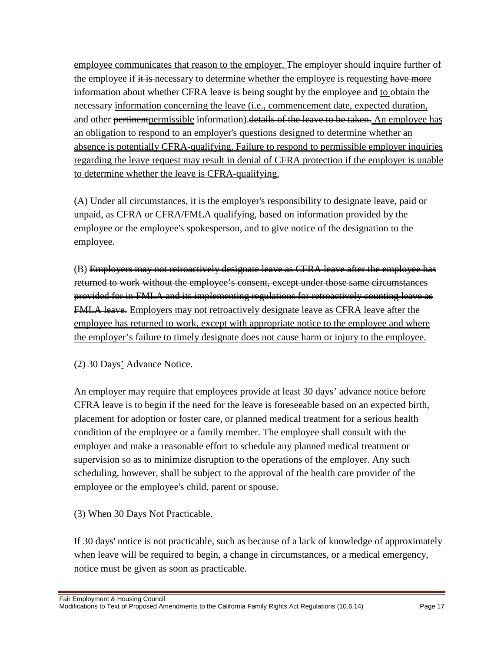employee communicates that reason to the employer. The employer should inquire further of the employee if it is necessary to determine whether the employee is requesting have more information about whether CFRA leave is being sought by the employee and to obtain the necessary information concerning the leave (i.e., commencement date, expected duration, and other pertinent permissible information). details of the leave to be taken. An employee has an obligation to respond to an employer's questions designed to determine whether an absence is potentially CFRA-qualifying. Failure to respond to permissible employer inquiries regarding the leave request may result in denial of CFRA protection if the employer is unable to determine whether the leave is CFRA-qualifying.

(A) Under all circumstances, it is the employer's responsibility to designate leave, paid or unpaid, as CFRA or CFRA/FMLA qualifying, based on information provided by the employee or the employee's spokesperson, and to give notice of the designation to the employee.

(B) Employers may not retroactively designate leave as CFRA leave after the employee has returned to work without the employee's consent, except under those same circumstances provided for in FMLA and its implementing regulations for retroactively counting leave as **FMLA leave.** Employers may not retroactively designate leave as CFRA leave after the employee has returned to work, except with appropriate notice to the employee and where the employer's failure to timely designate does not cause harm or injury to the employee.

(2) 30 Days' Advance Notice.

An employer may require that employees provide at least 30 days' advance notice before CFRA leave is to begin if the need for the leave is foreseeable based on an expected birth, placement for adoption or foster care, or planned medical treatment for a serious health condition of the employee or a family member. The employee shall consult with the employer and make a reasonable effort to schedule any planned medical treatment or supervision so as to minimize disruption to the operations of the employer. Any such scheduling, however, shall be subject to the approval of the health care provider of the employee or the employee's child, parent or spouse.

(3) When 30 Days Not Practicable.

If 30 days' notice is not practicable, such as because of a lack of knowledge of approximately when leave will be required to begin, a change in circumstances, or a medical emergency, notice must be given as soon as practicable.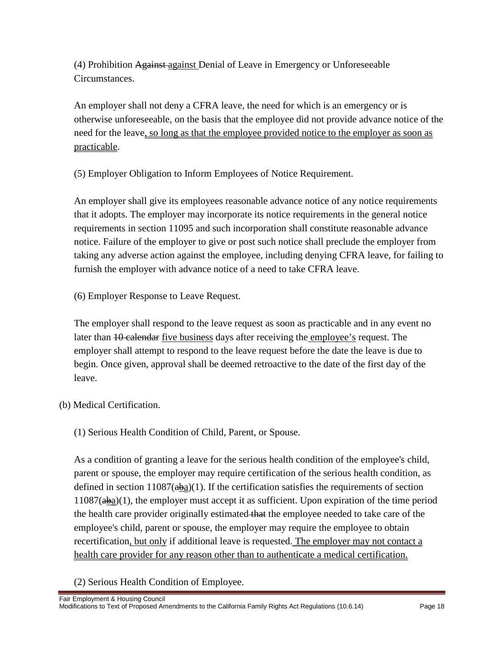(4) Prohibition Against against Denial of Leave in Emergency or Unforeseeable Circumstances.

An employer shall not deny a CFRA leave, the need for which is an emergency or is otherwise unforeseeable, on the basis that the employee did not provide advance notice of the need for the leave, so long as that the employee provided notice to the employer as soon as practicable.

(5) Employer Obligation to Inform Employees of Notice Requirement.

An employer shall give its employees reasonable advance notice of any notice requirements that it adopts. The employer may incorporate its notice requirements in the general notice requirements in section 11095 and such incorporation shall constitute reasonable advance notice. Failure of the employer to give or post such notice shall preclude the employer from taking any adverse action against the employee, including denying CFRA leave, for failing to furnish the employer with advance notice of a need to take CFRA leave.

(6) Employer Response to Leave Request.

The employer shall respond to the leave request as soon as practicable and in any event no later than 10 calendar five business days after receiving the employee's request. The employer shall attempt to respond to the leave request before the date the leave is due to begin. Once given, approval shall be deemed retroactive to the date of the first day of the leave.

(b) Medical Certification.

(1) Serious Health Condition of Child, Parent, or Spouse.

As a condition of granting a leave for the serious health condition of the employee's child, parent or spouse, the employer may require certification of the serious health condition, as defined in section 11087( $a\underline{b}a$ )(1). If the certification satisfies the requirements of section  $11087(\frac{a}{2})$ (1), the employer must accept it as sufficient. Upon expiration of the time period the health care provider originally estimated that the employee needed to take care of the employee's child, parent or spouse, the employer may require the employee to obtain recertification, but only if additional leave is requested. The employer may not contact a health care provider for any reason other than to authenticate a medical certification.

(2) Serious Health Condition of Employee.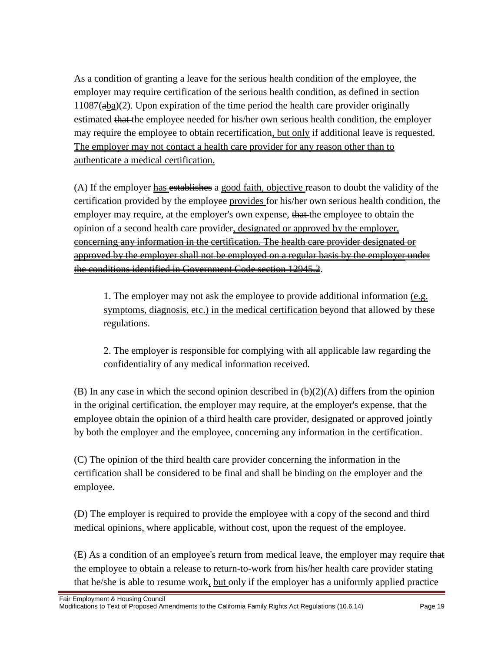As a condition of granting a leave for the serious health condition of the employee, the employer may require certification of the serious health condition, as defined in section  $11087 \text{(a} \text{ba})$ (2). Upon expiration of the time period the health care provider originally estimated that the employee needed for his/her own serious health condition, the employer may require the employee to obtain recertification, but only if additional leave is requested. The employer may not contact a health care provider for any reason other than to authenticate a medical certification.

(A) If the employer has establishes a good faith, objective reason to doubt the validity of the certification provided by the employee provides for his/her own serious health condition, the employer may require, at the employer's own expense, that the employee to obtain the opinion of a second health care provider, designated or approved by the employer, concerning any information in the certification. The health care provider designated or approved by the employer shall not be employed on a regular basis by the employer under the conditions identified in Government Code section 12945.2.

1. The employer may not ask the employee to provide additional information (e.g. symptoms, diagnosis, etc.) in the medical certification beyond that allowed by these regulations.

2. The employer is responsible for complying with all applicable law regarding the confidentiality of any medical information received.

(B) In any case in which the second opinion described in  $(b)(2)(A)$  differs from the opinion in the original certification, the employer may require, at the employer's expense, that the employee obtain the opinion of a third health care provider, designated or approved jointly by both the employer and the employee, concerning any information in the certification.

(C) The opinion of the third health care provider concerning the information in the certification shall be considered to be final and shall be binding on the employer and the employee.

(D) The employer is required to provide the employee with a copy of the second and third medical opinions, where applicable, without cost, upon the request of the employee.

(E) As a condition of an employee's return from medical leave, the employer may require that the employee to obtain a release to return-to-work from his/her health care provider stating that he/she is able to resume work, but only if the employer has a uniformly applied practice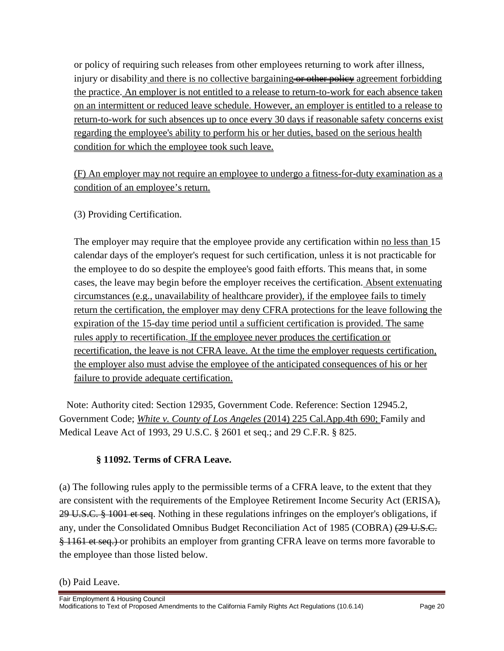or policy of requiring such releases from other employees returning to work after illness, injury or disability and there is no collective bargaining or other policy agreement forbidding the practice. An employer is not entitled to a release to return-to-work for each absence taken on an intermittent or reduced leave schedule. However, an employer is entitled to a release to return-to-work for such absences up to once every 30 days if reasonable safety concerns exist regarding the employee's ability to perform his or her duties, based on the serious health condition for which the employee took such leave.

(F) An employer may not require an employee to undergo a fitness-for-duty examination as a condition of an employee's return.

(3) Providing Certification.

The employer may require that the employee provide any certification within no less than 15 calendar days of the employer's request for such certification, unless it is not practicable for the employee to do so despite the employee's good faith efforts. This means that, in some cases, the leave may begin before the employer receives the certification. Absent extenuating circumstances (e.g., unavailability of healthcare provider), if the employee fails to timely return the certification, the employer may deny CFRA protections for the leave following the expiration of the 15-day time period until a sufficient certification is provided. The same rules apply to recertification. If the employee never produces the certification or recertification, the leave is not CFRA leave. At the time the employer requests certification, the employer also must advise the employee of the anticipated consequences of his or her failure to provide adequate certification.

Note: Authority cited: Section 12935, Government Code. Reference: Section 12945.2, Government Code; *White v. County of Los Angeles* (2014) 225 Cal.App.4th 690; Family and Medical Leave Act of 1993, 29 U.S.C. § 2601 et seq.; and 29 C.F.R. § 825.

### **§ 11092. Terms of CFRA Leave.**

(a) The following rules apply to the permissible terms of a CFRA leave, to the extent that they are consistent with the requirements of the Employee Retirement Income Security Act (ERISA), 29 U.S.C. § 1001 et seq. Nothing in these regulations infringes on the employer's obligations, if any, under the Consolidated Omnibus Budget Reconciliation Act of 1985 (COBRA) (29 U.S.C. § 1161 et seq.) or prohibits an employer from granting CFRA leave on terms more favorable to the employee than those listed below.

Fair Employment & Housing Council Modifications to Text of Proposed Amendments to the California Family Rights Act Regulations (10.6.14) Page 20

<sup>(</sup>b) Paid Leave.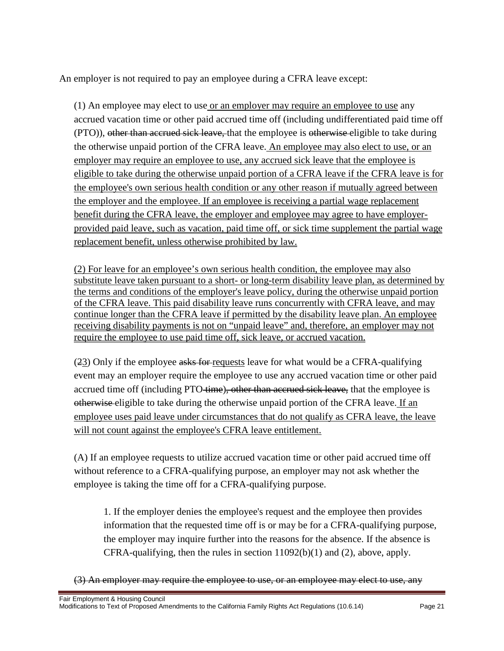An employer is not required to pay an employee during a CFRA leave except:

(1) An employee may elect to use or an employer may require an employee to use any accrued vacation time or other paid accrued time off (including undifferentiated paid time off (PTO)), other than accrued sick leave, that the employee is otherwise eligible to take during the otherwise unpaid portion of the CFRA leave. An employee may also elect to use, or an employer may require an employee to use, any accrued sick leave that the employee is eligible to take during the otherwise unpaid portion of a CFRA leave if the CFRA leave is for the employee's own serious health condition or any other reason if mutually agreed between the employer and the employee. If an employee is receiving a partial wage replacement benefit during the CFRA leave, the employer and employee may agree to have employerprovided paid leave, such as vacation, paid time off, or sick time supplement the partial wage replacement benefit, unless otherwise prohibited by law.

(2) For leave for an employee's own serious health condition, the employee may also substitute leave taken pursuant to a short- or long-term disability leave plan, as determined by the terms and conditions of the employer's leave policy, during the otherwise unpaid portion of the CFRA leave. This paid disability leave runs concurrently with CFRA leave, and may continue longer than the CFRA leave if permitted by the disability leave plan. An employee receiving disability payments is not on "unpaid leave" and, therefore, an employer may not require the employee to use paid time off, sick leave, or accrued vacation.

(23) Only if the employee asks for requests leave for what would be a CFRA-qualifying event may an employer require the employee to use any accrued vacation time or other paid accrued time off (including PTO-time), other than accrued sick leave, that the employee is otherwise eligible to take during the otherwise unpaid portion of the CFRA leave. If an employee uses paid leave under circumstances that do not qualify as CFRA leave, the leave will not count against the employee's CFRA leave entitlement.

(A) If an employee requests to utilize accrued vacation time or other paid accrued time off without reference to a CFRA-qualifying purpose, an employer may not ask whether the employee is taking the time off for a CFRA-qualifying purpose.

1. If the employer denies the employee's request and the employee then provides information that the requested time off is or may be for a CFRA-qualifying purpose, the employer may inquire further into the reasons for the absence. If the absence is CFRA-qualifying, then the rules in section 11092(b)(1) and (2), above, apply.

(3) An employer may require the employee to use, or an employee may elect to use, any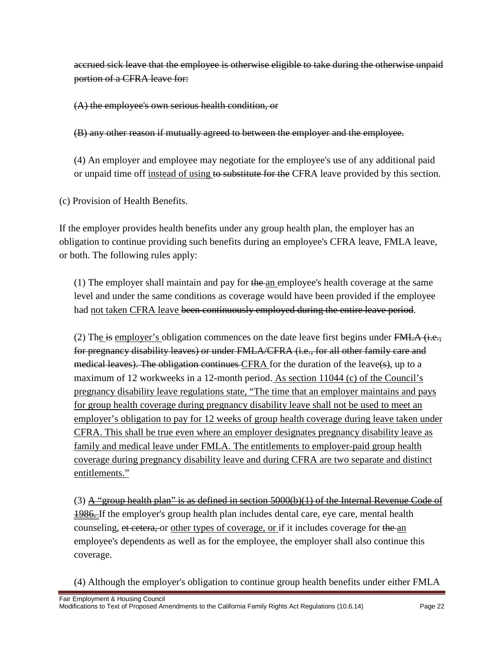accrued sick leave that the employee is otherwise eligible to take during the otherwise unpaid portion of a CFRA leave for:

(A) the employee's own serious health condition, or

(B) any other reason if mutually agreed to between the employer and the employee.

(4) An employer and employee may negotiate for the employee's use of any additional paid or unpaid time off instead of using to substitute for the CFRA leave provided by this section.

(c) Provision of Health Benefits.

If the employer provides health benefits under any group health plan, the employer has an obligation to continue providing such benefits during an employee's CFRA leave, FMLA leave, or both. The following rules apply:

(1) The employer shall maintain and pay for  $t$  he an employee's health coverage at the same level and under the same conditions as coverage would have been provided if the employee had not taken CFRA leave been continuously employed during the entire leave period.

(2) The is employer's obligation commences on the date leave first begins under  $\overline{FMLA}$  (i.e., for pregnancy disability leaves) or under FMLA/CFRA (i.e., for all other family care and medical leaves). The obligation continues CFRA for the duration of the leave(s), up to a maximum of 12 workweeks in a 12-month period. As section 11044 (c) of the Council's pregnancy disability leave regulations state, "The time that an employer maintains and pays for group health coverage during pregnancy disability leave shall not be used to meet an employer's obligation to pay for 12 weeks of group health coverage during leave taken under CFRA. This shall be true even where an employer designates pregnancy disability leave as family and medical leave under FMLA. The entitlements to employer-paid group health coverage during pregnancy disability leave and during CFRA are two separate and distinct entitlements."

(3) A "group health plan" is as defined in section  $5000(b)(1)$  of the Internal Revenue Code of **1986.** If the employer's group health plan includes dental care, eye care, mental health counseling, et cetera, or other types of coverage, or if it includes coverage for the an employee's dependents as well as for the employee, the employer shall also continue this coverage.

(4) Although the employer's obligation to continue group health benefits under either FMLA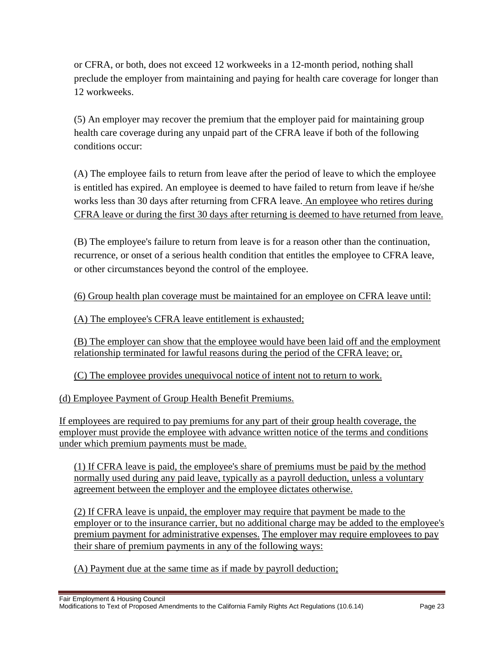or CFRA, or both, does not exceed 12 workweeks in a 12-month period, nothing shall preclude the employer from maintaining and paying for health care coverage for longer than 12 workweeks.

(5) An employer may recover the premium that the employer paid for maintaining group health care coverage during any unpaid part of the CFRA leave if both of the following conditions occur:

(A) The employee fails to return from leave after the period of leave to which the employee is entitled has expired. An employee is deemed to have failed to return from leave if he/she works less than 30 days after returning from CFRA leave. An employee who retires during CFRA leave or during the first 30 days after returning is deemed to have returned from leave.

(B) The employee's failure to return from leave is for a reason other than the continuation, recurrence, or onset of a serious health condition that entitles the employee to CFRA leave, or other circumstances beyond the control of the employee.

(6) Group health plan coverage must be maintained for an employee on CFRA leave until:

(A) The employee's CFRA leave entitlement is exhausted;

(B) The employer can show that the employee would have been laid off and the employment relationship terminated for lawful reasons during the period of the CFRA leave; or,

(C) The employee provides unequivocal notice of intent not to return to work.

(d) Employee Payment of Group Health Benefit Premiums.

If employees are required to pay premiums for any part of their group health coverage, the employer must provide the employee with advance written notice of the terms and conditions under which premium payments must be made.

(1) If CFRA leave is paid, the employee's share of premiums must be paid by the method normally used during any paid leave, typically as a payroll deduction, unless a voluntary agreement between the employer and the employee dictates otherwise.

(2) If CFRA leave is unpaid, the employer may require that payment be made to the employer or to the insurance carrier, but no additional charge may be added to the employee's premium payment for administrative expenses. The employer may require employees to pay their share of premium payments in any of the following ways:

(A) Payment due at the same time as if made by payroll deduction;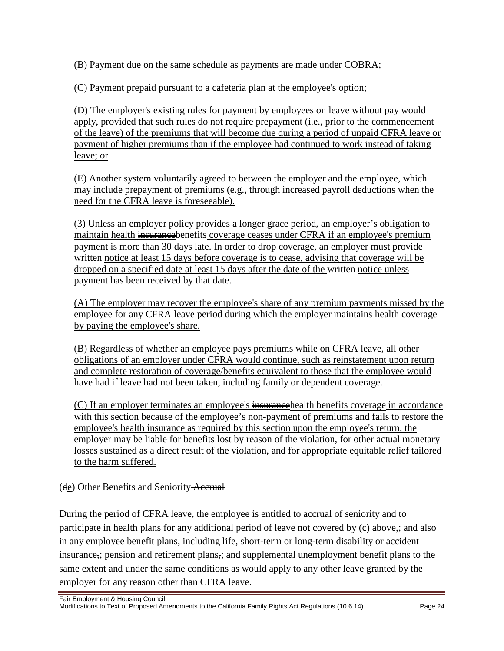(B) Payment due on the same schedule as payments are made under COBRA;

(C) Payment prepaid pursuant to a cafeteria plan at the employee's option;

(D) The employer's existing rules for payment by employees on leave without pay would apply, provided that such rules do not require prepayment (i.e., prior to the commencement of the leave) of the premiums that will become due during a period of unpaid CFRA leave or payment of higher premiums than if the employee had continued to work instead of taking leave; or

(E) Another system voluntarily agreed to between the employer and the employee, which may include prepayment of premiums (e.g., through increased payroll deductions when the need for the CFRA leave is foreseeable).

(3) Unless an employer policy provides a longer grace period, an employer's obligation to maintain health insurance benefits coverage ceases under CFRA if an employee's premium payment is more than 30 days late. In order to drop coverage, an employer must provide written notice at least 15 days before coverage is to cease, advising that coverage will be dropped on a specified date at least 15 days after the date of the written notice unless payment has been received by that date.

(A) The employer may recover the employee's share of any premium payments missed by the employee for any CFRA leave period during which the employer maintains health coverage by paying the employee's share.

(B) Regardless of whether an employee pays premiums while on CFRA leave, all other obligations of an employer under CFRA would continue, such as reinstatement upon return and complete restoration of coverage/benefits equivalent to those that the employee would have had if leave had not been taken, including family or dependent coverage.

(C) If an employer terminates an employee's insurancehealth benefits coverage in accordance with this section because of the employee's non-payment of premiums and fails to restore the employee's health insurance as required by this section upon the employee's return, the employer may be liable for benefits lost by reason of the violation, for other actual monetary losses sustained as a direct result of the violation, and for appropriate equitable relief tailored to the harm suffered.

(de) Other Benefits and Seniority-Accrual

During the period of CFRA leave, the employee is entitled to accrual of seniority and to participate in health plans for any additional period of leave-not covered by (c) above,; and also in any employee benefit plans, including life, short-term or long-term disability or accident insurance,; pension and retirement plans,; and supplemental unemployment benefit plans to the same extent and under the same conditions as would apply to any other leave granted by the employer for any reason other than CFRA leave.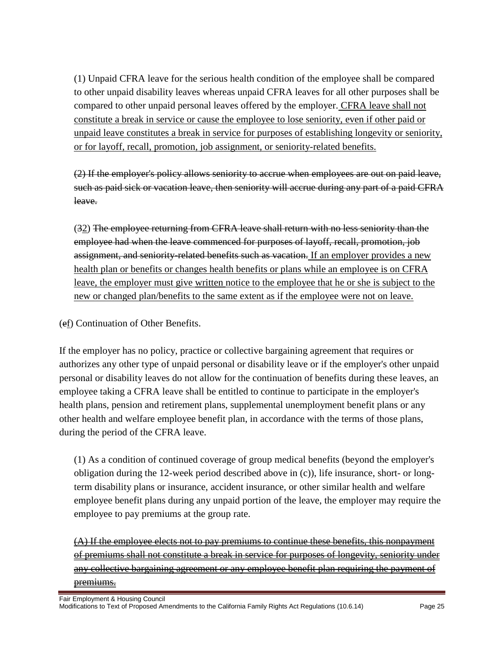(1) Unpaid CFRA leave for the serious health condition of the employee shall be compared to other unpaid disability leaves whereas unpaid CFRA leaves for all other purposes shall be compared to other unpaid personal leaves offered by the employer. CFRA leave shall not constitute a break in service or cause the employee to lose seniority, even if other paid or unpaid leave constitutes a break in service for purposes of establishing longevity or seniority, or for layoff, recall, promotion, job assignment, or seniority-related benefits.

(2) If the employer's policy allows seniority to accrue when employees are out on paid leave, such as paid sick or vacation leave, then seniority will accrue during any part of a paid CFRA leave.

(32) The employee returning from CFRA leave shall return with no less seniority than the employee had when the leave commenced for purposes of layoff, recall, promotion, job assignment, and seniority-related benefits such as vacation. If an employer provides a new health plan or benefits or changes health benefits or plans while an employee is on CFRA leave, the employer must give written notice to the employee that he or she is subject to the new or changed plan/benefits to the same extent as if the employee were not on leave.

(ef) Continuation of Other Benefits.

If the employer has no policy, practice or collective bargaining agreement that requires or authorizes any other type of unpaid personal or disability leave or if the employer's other unpaid personal or disability leaves do not allow for the continuation of benefits during these leaves, an employee taking a CFRA leave shall be entitled to continue to participate in the employer's health plans, pension and retirement plans, supplemental unemployment benefit plans or any other health and welfare employee benefit plan, in accordance with the terms of those plans, during the period of the CFRA leave.

(1) As a condition of continued coverage of group medical benefits (beyond the employer's obligation during the 12-week period described above in (c)), life insurance, short- or longterm disability plans or insurance, accident insurance, or other similar health and welfare employee benefit plans during any unpaid portion of the leave, the employer may require the employee to pay premiums at the group rate.

(A) If the employee elects not to pay premiums to continue these benefits, this nonpayment of premiums shall not constitute a break in service for purposes of longevity, seniority under any collective bargaining agreement or any employee benefit plan requiring the payment of premiums.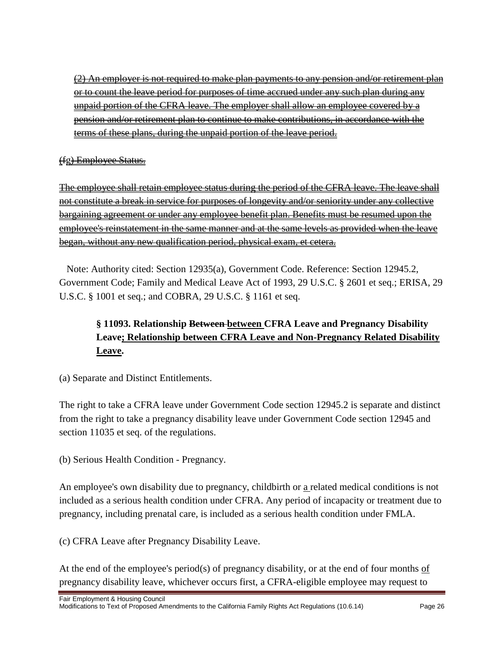(2) An employer is not required to make plan payments to any pension and/or retirement plan or to count the leave period for purposes of time accrued under any such plan during any unpaid portion of the CFRA leave. The employer shall allow an employee covered by a pension and/or retirement plan to continue to make contributions, in accordance with the terms of these plans, during the unpaid portion of the leave period.

#### (fg) Employee Status.

The employee shall retain employee status during the period of the CFRA leave. The leave shall not constitute a break in service for purposes of longevity and/or seniority under any collective bargaining agreement or under any employee benefit plan. Benefits must be resumed upon the employee's reinstatement in the same manner and at the same levels as provided when the leave began, without any new qualification period, physical exam, et cetera.

Note: Authority cited: Section 12935(a), Government Code. Reference: Section 12945.2, Government Code; Family and Medical Leave Act of 1993, 29 U.S.C. § 2601 et seq.; ERISA, 29 U.S.C. § 1001 et seq.; and COBRA, 29 U.S.C. § 1161 et seq.

# **§ 11093. Relationship Between between CFRA Leave and Pregnancy Disability Leave; Relationship between CFRA Leave and Non-Pregnancy Related Disability Leave.**

(a) Separate and Distinct Entitlements.

The right to take a CFRA leave under Government Code section 12945.2 is separate and distinct from the right to take a pregnancy disability leave under Government Code section 12945 and section 11035 et seq. of the regulations.

(b) Serious Health Condition - Pregnancy.

An employee's own disability due to pregnancy, childbirth or a related medical conditions is not included as a serious health condition under CFRA. Any period of incapacity or treatment due to pregnancy, including prenatal care, is included as a serious health condition under FMLA.

(c) CFRA Leave after Pregnancy Disability Leave.

At the end of the employee's period(s) of pregnancy disability, or at the end of four months of pregnancy disability leave, whichever occurs first, a CFRA-eligible employee may request to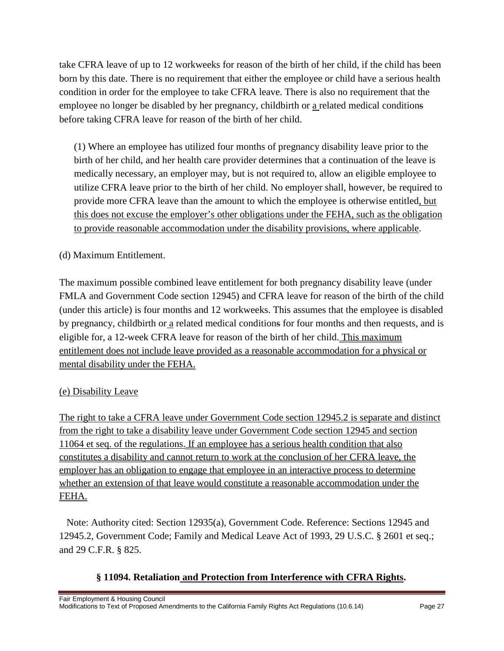take CFRA leave of up to 12 workweeks for reason of the birth of her child, if the child has been born by this date. There is no requirement that either the employee or child have a serious health condition in order for the employee to take CFRA leave. There is also no requirement that the employee no longer be disabled by her pregnancy, childbirth or a related medical conditions before taking CFRA leave for reason of the birth of her child.

(1) Where an employee has utilized four months of pregnancy disability leave prior to the birth of her child, and her health care provider determines that a continuation of the leave is medically necessary, an employer may, but is not required to, allow an eligible employee to utilize CFRA leave prior to the birth of her child. No employer shall, however, be required to provide more CFRA leave than the amount to which the employee is otherwise entitled, but this does not excuse the employer's other obligations under the FEHA, such as the obligation to provide reasonable accommodation under the disability provisions, where applicable.

### (d) Maximum Entitlement.

The maximum possible combined leave entitlement for both pregnancy disability leave (under FMLA and Government Code section 12945) and CFRA leave for reason of the birth of the child (under this article) is four months and 12 workweeks. This assumes that the employee is disabled by pregnancy, childbirth or a related medical conditions for four months and then requests, and is eligible for, a 12-week CFRA leave for reason of the birth of her child. This maximum entitlement does not include leave provided as a reasonable accommodation for a physical or mental disability under the FEHA.

### (e) Disability Leave

The right to take a CFRA leave under Government Code section 12945.2 is separate and distinct from the right to take a disability leave under Government Code section 12945 and section 11064 et seq. of the regulations. If an employee has a serious health condition that also constitutes a disability and cannot return to work at the conclusion of her CFRA leave, the employer has an obligation to engage that employee in an interactive process to determine whether an extension of that leave would constitute a reasonable accommodation under the FEHA.

Note: Authority cited: Section 12935(a), Government Code. Reference: Sections 12945 and 12945.2, Government Code; Family and Medical Leave Act of 1993, 29 U.S.C. § 2601 et seq.; and 29 C.F.R. § 825.

### **§ 11094. Retaliation and Protection from Interference with CFRA Rights.**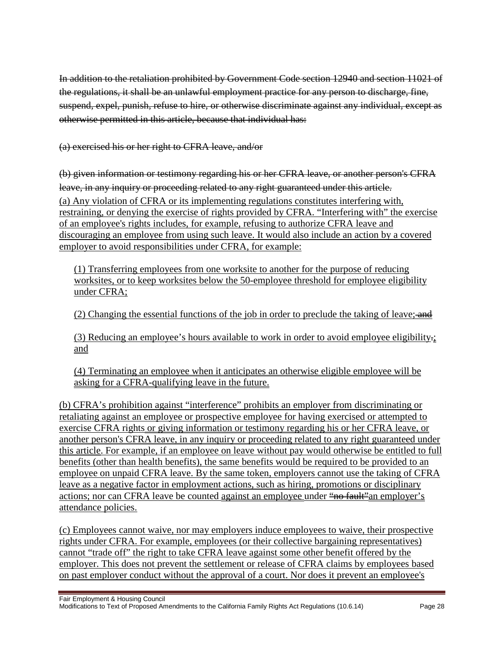In addition to the retaliation prohibited by Government Code section 12940 and section 11021 of the regulations, it shall be an unlawful employment practice for any person to discharge, fine, suspend, expel, punish, refuse to hire, or otherwise discriminate against any individual, except as otherwise permitted in this article, because that individual has:

(a) exercised his or her right to CFRA leave, and/or

(b) given information or testimony regarding his or her CFRA leave, or another person's CFRA leave, in any inquiry or proceeding related to any right guaranteed under this article. (a) Any violation of CFRA or its implementing regulations constitutes interfering with, restraining, or denying the exercise of rights provided by CFRA. "Interfering with" the exercise of an employee's rights includes, for example, refusing to authorize CFRA leave and discouraging an employee from using such leave. It would also include an action by a covered employer to avoid responsibilities under CFRA, for example:

(1) Transferring employees from one worksite to another for the purpose of reducing worksites, or to keep worksites below the 50-employee threshold for employee eligibility under CFRA;

(2) Changing the essential functions of the job in order to preclude the taking of leave;  $\overrightarrow{and}$ 

(3) Reducing an employee's hours available to work in order to avoid employee eligibility. and

(4) Terminating an employee when it anticipates an otherwise eligible employee will be asking for a CFRA-qualifying leave in the future.

(b) CFRA's prohibition against "interference" prohibits an employer from discriminating or retaliating against an employee or prospective employee for having exercised or attempted to exercise CFRA rights or giving information or testimony regarding his or her CFRA leave, or another person's CFRA leave, in any inquiry or proceeding related to any right guaranteed under this article. For example, if an employee on leave without pay would otherwise be entitled to full benefits (other than health benefits), the same benefits would be required to be provided to an employee on unpaid CFRA leave. By the same token, employers cannot use the taking of CFRA leave as a negative factor in employment actions, such as hiring, promotions or disciplinary actions; nor can CFRA leave be counted against an employee under "no fault" an employer's attendance policies.

(c) Employees cannot waive, nor may employers induce employees to waive, their prospective rights under CFRA. For example, employees (or their collective bargaining representatives) cannot "trade off" the right to take CFRA leave against some other benefit offered by the employer. This does not prevent the settlement or release of CFRA claims by employees based on past employer conduct without the approval of a court. Nor does it prevent an employee's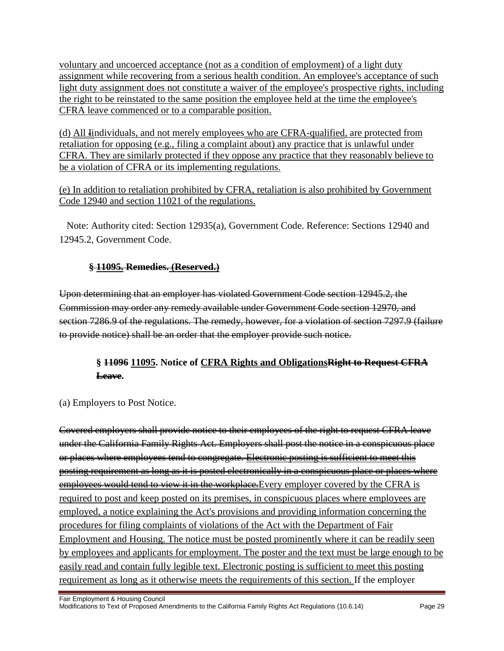voluntary and uncoerced acceptance (not as a condition of employment) of a light duty assignment while recovering from a serious health condition. An employee's acceptance of such light duty assignment does not constitute a waiver of the employee's prospective rights, including the right to be reinstated to the same position the employee held at the time the employee's CFRA leave commenced or to a comparable position.

(d) All **I**individuals, and not merely employees who are CFRA-qualified, are protected from retaliation for opposing (e.g., filing a complaint about) any practice that is unlawful under CFRA. They are similarly protected if they oppose any practice that they reasonably believe to be a violation of CFRA or its implementing regulations.

(e) In addition to retaliation prohibited by CFRA, retaliation is also prohibited by Government Code 12940 and section 11021 of the regulations.

Note: Authority cited: Section 12935(a), Government Code. Reference: Sections 12940 and 12945.2, Government Code.

### **§ 11095. Remedies. (Reserved.)**

Upon determining that an employer has violated Government Code section 12945.2, the Commission may order any remedy available under Government Code section 12970, and section 7286.9 of the regulations. The remedy, however, for a violation of section 7297.9 (failure to provide notice) shall be an order that the employer provide such notice.

### **§ 11096 11095. Notice of CFRA Rights and ObligationsRight to Request CFRA Leave.**

### (a) Employers to Post Notice.

Covered employers shall provide notice to their employees of the right to request CFRA leave under the California Family Rights Act. Employers shall post the notice in a conspicuous place or places where employees tend to congregate. Electronic posting is sufficient to meet this posting requirement as long as it is posted electronically in a conspicuous place or places where employees would tend to view it in the workplace. Every employer covered by the CFRA is required to post and keep posted on its premises, in conspicuous places where employees are employed, a notice explaining the Act's provisions and providing information concerning the procedures for filing complaints of violations of the Act with the Department of Fair Employment and Housing. The notice must be posted prominently where it can be readily seen by employees and applicants for employment. The poster and the text must be large enough to be easily read and contain fully legible text. Electronic posting is sufficient to meet this posting requirement as long as it otherwise meets the requirements of this section. If the employer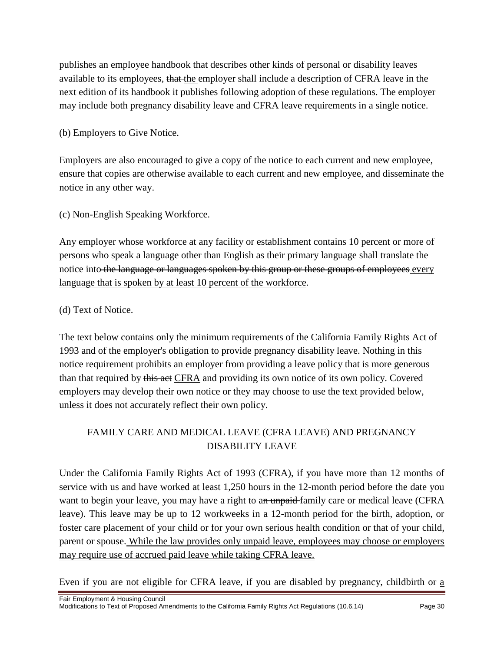publishes an employee handbook that describes other kinds of personal or disability leaves available to its employees, that the employer shall include a description of CFRA leave in the next edition of its handbook it publishes following adoption of these regulations. The employer may include both pregnancy disability leave and CFRA leave requirements in a single notice.

(b) Employers to Give Notice.

Employers are also encouraged to give a copy of the notice to each current and new employee, ensure that copies are otherwise available to each current and new employee, and disseminate the notice in any other way.

(c) Non-English Speaking Workforce.

Any employer whose workforce at any facility or establishment contains 10 percent or more of persons who speak a language other than English as their primary language shall translate the notice into the language or languages spoken by this group or these groups of employees every language that is spoken by at least 10 percent of the workforce.

(d) Text of Notice.

The text below contains only the minimum requirements of the California Family Rights Act of 1993 and of the employer's obligation to provide pregnancy disability leave. Nothing in this notice requirement prohibits an employer from providing a leave policy that is more generous than that required by this act CFRA and providing its own notice of its own policy. Covered employers may develop their own notice or they may choose to use the text provided below, unless it does not accurately reflect their own policy.

# FAMILY CARE AND MEDICAL LEAVE (CFRA LEAVE) AND PREGNANCY DISABILITY LEAVE

Under the California Family Rights Act of 1993 (CFRA), if you have more than 12 months of service with us and have worked at least 1,250 hours in the 12-month period before the date you want to begin your leave, you may have a right to an unpaid-family care or medical leave (CFRA leave). This leave may be up to 12 workweeks in a 12-month period for the birth, adoption, or foster care placement of your child or for your own serious health condition or that of your child, parent or spouse. While the law provides only unpaid leave, employees may choose or employers may require use of accrued paid leave while taking CFRA leave.

Even if you are not eligible for CFRA leave, if you are disabled by pregnancy, childbirth or a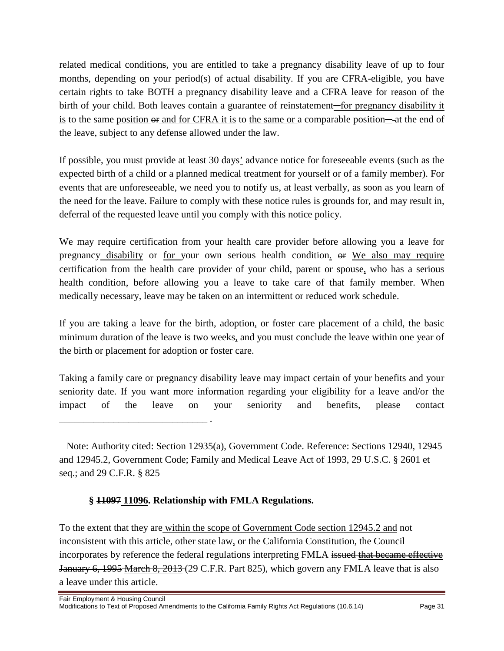related medical conditions, you are entitled to take a pregnancy disability leave of up to four months, depending on your period(s) of actual disability. If you are CFRA-eligible, you have certain rights to take BOTH a pregnancy disability leave and a CFRA leave for reason of the birth of your child. Both leaves contain a guarantee of reinstatement—for pregnancy disability it is to the same position or and for CFRA it is to the same or a comparable position—at the end of the leave, subject to any defense allowed under the law.

If possible, you must provide at least 30 days' advance notice for foreseeable events (such as the expected birth of a child or a planned medical treatment for yourself or of a family member). For events that are unforeseeable, we need you to notify us, at least verbally, as soon as you learn of the need for the leave. Failure to comply with these notice rules is grounds for, and may result in, deferral of the requested leave until you comply with this notice policy.

We may require certification from your health care provider before allowing you a leave for pregnancy disability or for your own serious health condition. or We also may require certification from the health care provider of your child, parent or spouse, who has a serious health condition, before allowing you a leave to take care of that family member. When medically necessary, leave may be taken on an intermittent or reduced work schedule.

If you are taking a leave for the birth, adoption, or foster care placement of a child, the basic minimum duration of the leave is two weeks, and you must conclude the leave within one year of the birth or placement for adoption or foster care.

Taking a family care or pregnancy disability leave may impact certain of your benefits and your seniority date. If you want more information regarding your eligibility for a leave and/or the impact of the leave on your seniority and benefits, please contact

Note: Authority cited: Section 12935(a), Government Code. Reference: Sections 12940, 12945 and 12945.2, Government Code; Family and Medical Leave Act of 1993, 29 U.S.C. § 2601 et seq.; and 29 C.F.R. § 825

### **§ 11097 11096. Relationship with FMLA Regulations.**

\_\_\_\_\_\_\_\_\_\_\_\_\_\_\_\_\_\_\_\_\_\_\_\_\_\_\_\_\_\_ .

To the extent that they are within the scope of Government Code section 12945.2 and not inconsistent with this article, other state law, or the California Constitution, the Council incorporates by reference the federal regulations interpreting FMLA issued that became effective January 6, 1995 March 8, 2013 (29 C.F.R. Part 825), which govern any FMLA leave that is also a leave under this article.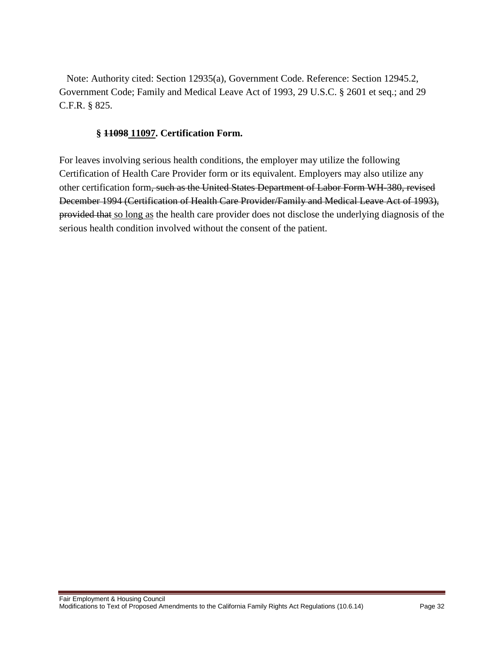Note: Authority cited: Section 12935(a), Government Code. Reference: Section 12945.2, Government Code; Family and Medical Leave Act of 1993, 29 U.S.C. § 2601 et seq.; and 29 C.F.R. § 825.

#### **§ 11098 11097. Certification Form.**

For leaves involving serious health conditions, the employer may utilize the following Certification of Health Care Provider form or its equivalent. Employers may also utilize any other certification form, such as the United States Department of Labor Form WH-380, revised December 1994 (Certification of Health Care Provider/Family and Medical Leave Act of 1993), provided that so long as the health care provider does not disclose the underlying diagnosis of the serious health condition involved without the consent of the patient.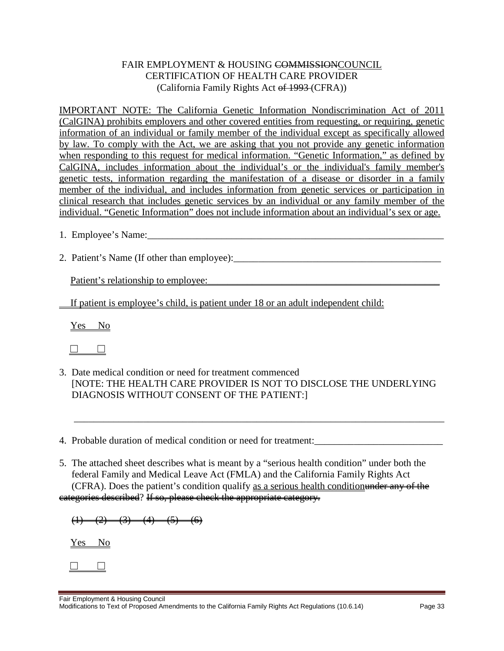#### FAIR EMPLOYMENT & HOUSING COMMISSIONCOUNCIL CERTIFICATION OF HEALTH CARE PROVIDER (California Family Rights Act of 1993 (CFRA))

IMPORTANT NOTE: The California Genetic Information Nondiscrimination Act of 2011 (CalGINA) prohibits employers and other covered entities from requesting, or requiring, genetic information of an individual or family member of the individual except as specifically allowed by law. To comply with the Act, we are asking that you not provide any genetic information when responding to this request for medical information. "Genetic Information," as defined by CalGINA, includes information about the individual's or the individual's family member's genetic tests, information regarding the manifestation of a disease or disorder in a family member of the individual, and includes information from genetic services or participation in clinical research that includes genetic services by an individual or any family member of the individual. "Genetic Information" does not include information about an individual's sex or age.

- 1. Employee's Name:
- 2. Patient's Name (If other than employee):\_\_\_\_\_\_\_\_\_\_\_\_\_\_\_\_\_\_\_\_\_\_\_\_\_\_\_\_\_\_\_\_\_\_\_\_\_\_\_\_\_\_

Patient's relationship to employee:

If patient is employee's child, is patient under 18 or an adult independent child:

Yes No



3. Date medical condition or need for treatment commenced [NOTE: THE HEALTH CARE PROVIDER IS NOT TO DISCLOSE THE UNDERLYING DIAGNOSIS WITHOUT CONSENT OF THE PATIENT:]

\_\_\_\_\_\_\_\_\_\_\_\_\_\_\_\_\_\_\_\_\_\_\_\_\_\_\_\_\_\_\_\_\_\_\_\_\_\_\_\_\_\_\_\_\_\_\_\_\_\_\_\_\_\_\_\_\_\_\_\_\_\_\_\_\_\_\_\_\_\_\_\_\_\_\_

- 4. Probable duration of medical condition or need for treatment:
- 5. The attached sheet describes what is meant by a "serious health condition" under both the federal Family and Medical Leave Act (FMLA) and the California Family Rights Act (CFRA). Does the patient's condition qualify as a serious health conditionunder any of the categories described? If so, please check the appropriate category.

 $(1)$   $(2)$   $(3)$   $(4)$   $(5)$   $(6)$ 

Yes No

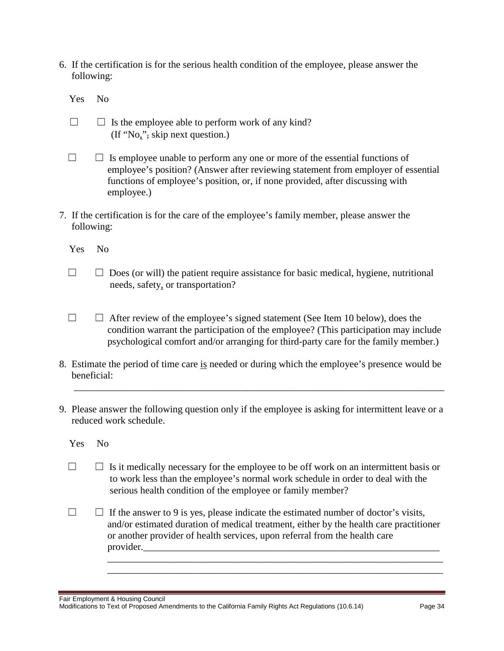6. If the certification is for the serious health condition of the employee, please answer the following:

Yes No

- $\Box$  Is the employee able to perform work of any kind? (If "No,", skip next question.)
- $\Box$   $\Box$  Is employee unable to perform any one or more of the essential functions of employee's position? (Answer after reviewing statement from employer of essential functions of employee's position, or, if none provided, after discussing with employee.)
- 7. If the certification is for the care of the employee's family member, please answer the following:
	- Yes No
	- $\Box$   $\Box$  Does (or will) the patient require assistance for basic medical, hygiene, nutritional needs, safety, or transportation?
	- ☐ ☐ After review of the employee's signed statement (See Item 10 below), does the condition warrant the participation of the employee? (This participation may include psychological comfort and/or arranging for third-party care for the family member.)
- 8. Estimate the period of time care is needed or during which the employee's presence would be beneficial:

\_\_\_\_\_\_\_\_\_\_\_\_\_\_\_\_\_\_\_\_\_\_\_\_\_\_\_\_\_\_\_\_\_\_\_\_\_\_\_\_\_\_\_\_\_\_\_\_\_\_\_\_\_\_\_\_\_\_\_\_\_\_\_\_\_\_\_\_\_\_\_\_\_\_\_

9. Please answer the following question only if the employee is asking for intermittent leave or a reduced work schedule.

Yes No

- $\Box$   $\Box$  Is it medically necessary for the employee to be off work on an intermittent basis or to work less than the employee's normal work schedule in order to deal with the serious health condition of the employee or family member?
- $\Box$   $\Box$  If the answer to 9 is yes, please indicate the estimated number of doctor's visits, and/or estimated duration of medical treatment, either by the health care practitioner or another provider of health services, upon referral from the health care provider.

\_\_\_\_\_\_\_\_\_\_\_\_\_\_\_\_\_\_\_\_\_\_\_\_\_\_\_\_\_\_\_\_\_\_\_\_\_\_\_\_\_\_\_\_\_\_\_\_\_\_\_\_\_\_\_\_\_\_\_\_\_\_\_\_\_\_\_\_ \_\_\_\_\_\_\_\_\_\_\_\_\_\_\_\_\_\_\_\_\_\_\_\_\_\_\_\_\_\_\_\_\_\_\_\_\_\_\_\_\_\_\_\_\_\_\_\_\_\_\_\_\_\_\_\_\_\_\_\_\_\_\_\_\_\_\_\_

Fair Employment & Housing Council Modifications to Text of Proposed Amendments to the California Family Rights Act Regulations (10.6.14) Page 34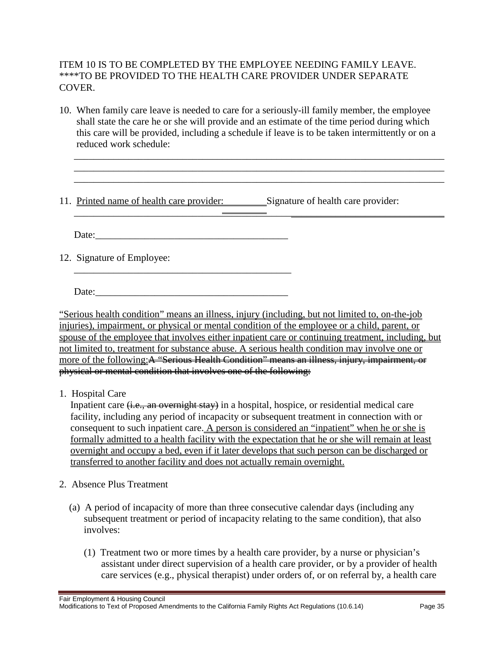#### ITEM 10 IS TO BE COMPLETED BY THE EMPLOYEE NEEDING FAMILY LEAVE. \*\*\*\*TO BE PROVIDED TO THE HEALTH CARE PROVIDER UNDER SEPARATE COVER.

10. When family care leave is needed to care for a seriously-ill family member, the employee shall state the care he or she will provide and an estimate of the time period during which this care will be provided, including a schedule if leave is to be taken intermittently or on a reduced work schedule:

\_\_\_\_\_\_\_\_\_\_\_\_\_\_\_\_\_\_\_\_\_\_\_\_\_\_\_\_\_\_\_\_\_\_\_\_\_\_\_\_\_\_\_\_\_\_\_\_\_\_\_\_\_\_\_\_\_\_\_\_\_\_\_\_\_\_\_\_\_\_\_\_\_\_\_ \_\_\_\_\_\_\_\_\_\_\_\_\_\_\_\_\_\_\_\_\_\_\_\_\_\_\_\_\_\_\_\_\_\_\_\_\_\_\_\_\_\_\_\_\_\_\_\_\_\_\_\_\_\_\_\_\_\_\_\_\_\_\_\_\_\_\_\_\_\_\_\_\_\_\_ \_\_\_\_\_\_\_\_\_\_\_\_\_\_\_\_\_\_\_\_\_\_\_\_\_\_\_\_\_\_\_\_\_\_\_\_\_\_\_\_\_\_\_\_\_\_\_\_\_\_\_\_\_\_\_\_\_\_\_\_\_\_\_\_\_\_\_\_\_\_\_\_\_\_\_

11. Printed name of health care provider: Signature of health care provider:

Date:

 $\mathcal{L}_\mathcal{L} = \mathcal{L}_\mathcal{L} = \mathcal{L}_\mathcal{L} = \mathcal{L}_\mathcal{L} = \mathcal{L}_\mathcal{L} = \mathcal{L}_\mathcal{L}$ 

12. Signature of Employee:

Date:

\_\_\_\_\_\_\_\_\_\_\_\_\_\_\_\_\_\_\_\_\_\_\_\_\_\_\_\_\_\_\_\_\_\_\_\_\_\_\_\_\_\_\_\_

"Serious health condition" means an illness, injury (including, but not limited to, on-the-job injuries), impairment, or physical or mental condition of the employee or a child, parent, or spouse of the employee that involves either inpatient care or continuing treatment, including, but not limited to, treatment for substance abuse. A serious health condition may involve one or more of the following: A "Serious Health Condition" means an illness, injury, impairment, or physical or mental condition that involves one of the following:

1. Hospital Care

Inpatient care (i.e., an overnight stay) in a hospital, hospice, or residential medical care facility, including any period of incapacity or subsequent treatment in connection with or consequent to such inpatient care. A person is considered an "inpatient" when he or she is formally admitted to a health facility with the expectation that he or she will remain at least overnight and occupy a bed, even if it later develops that such person can be discharged or transferred to another facility and does not actually remain overnight.

- 2. Absence Plus Treatment
	- (a) A period of incapacity of more than three consecutive calendar days (including any subsequent treatment or period of incapacity relating to the same condition), that also involves:
		- (1) Treatment two or more times by a health care provider, by a nurse or physician's assistant under direct supervision of a health care provider, or by a provider of health care services (e.g., physical therapist) under orders of, or on referral by, a health care